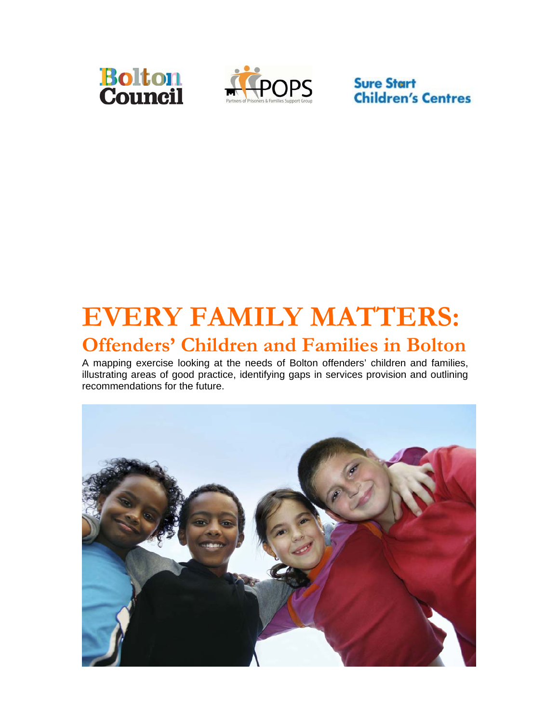



**Sure Start Children's Centres** 

# **EVERY FAMILY MATTERS: Offenders' Children and Families in Bolton**

A mapping exercise looking at the needs of Bolton offenders' children and families, illustrating areas of good practice, identifying gaps in services provision and outlining recommendations for the future.

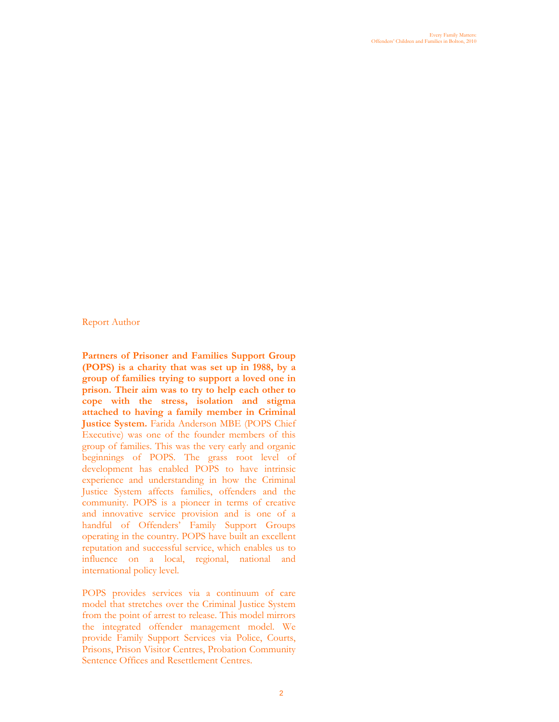Report Author

**Partners of Prisoner and Families Support Group (POPS) is a charity that was set up in 1988, by a group of families trying to support a loved one in prison. Their aim was to try to help each other to cope with the stress, isolation and stigma attached to having a family member in Criminal Justice System.** Farida Anderson MBE (POPS Chief Executive) was one of the founder members of this group of families. This was the very early and organic beginnings of POPS. The grass root level of development has enabled POPS to have intrinsic experience and understanding in how the Criminal Justice System affects families, offenders and the community. POPS is a pioneer in terms of creative and innovative service provision and is one of a handful of Offenders' Family Support Groups operating in the country. POPS have built an excellent reputation and successful service, which enables us to influence on a local, regional, national and international policy level.

POPS provides services via a continuum of care model that stretches over the Criminal Justice System from the point of arrest to release. This model mirrors the integrated offender management model. We provide Family Support Services via Police, Courts, Prisons, Prison Visitor Centres, Probation Community Sentence Offices and Resettlement Centres.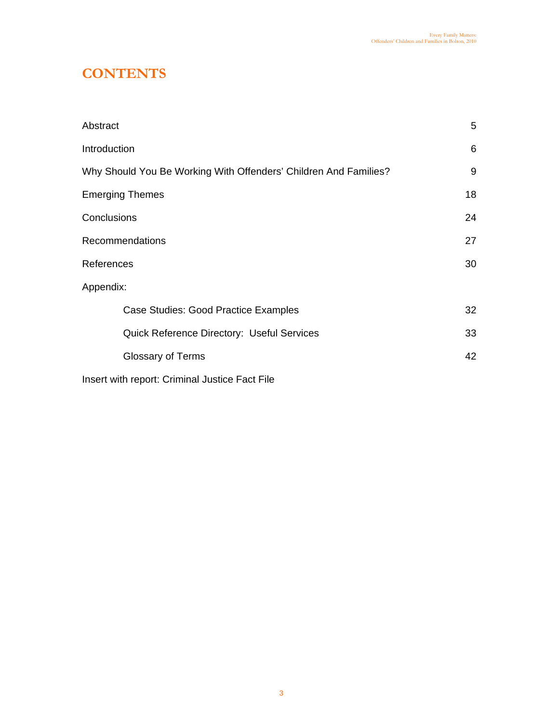# **CONTENTS**

| Abstract                                                         | 5  |
|------------------------------------------------------------------|----|
| Introduction                                                     | 6  |
| Why Should You Be Working With Offenders' Children And Families? | 9  |
| <b>Emerging Themes</b>                                           | 18 |
| Conclusions                                                      | 24 |
| Recommendations                                                  | 27 |
| References                                                       | 30 |
| Appendix:                                                        |    |
| Case Studies: Good Practice Examples                             | 32 |
| Quick Reference Directory: Useful Services                       | 33 |
| Glossary of Terms                                                | 42 |
| Insert with report: Criminal Justice Fact File                   |    |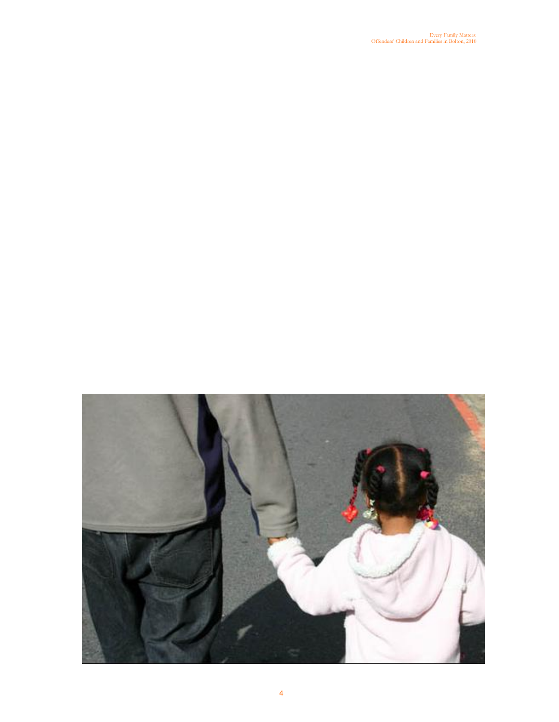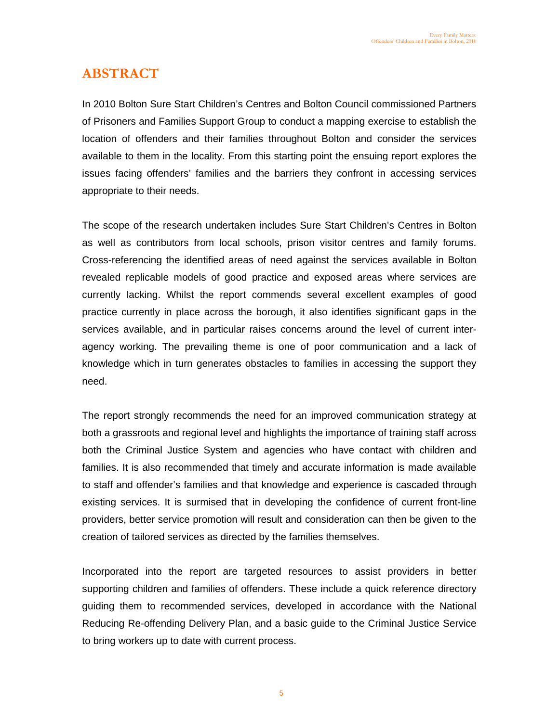# **ABSTRACT**

In 2010 Bolton Sure Start Children's Centres and Bolton Council commissioned Partners of Prisoners and Families Support Group to conduct a mapping exercise to establish the location of offenders and their families throughout Bolton and consider the services available to them in the locality. From this starting point the ensuing report explores the issues facing offenders' families and the barriers they confront in accessing services appropriate to their needs.

The scope of the research undertaken includes Sure Start Children's Centres in Bolton as well as contributors from local schools, prison visitor centres and family forums. Cross-referencing the identified areas of need against the services available in Bolton revealed replicable models of good practice and exposed areas where services are currently lacking. Whilst the report commends several excellent examples of good practice currently in place across the borough, it also identifies significant gaps in the services available, and in particular raises concerns around the level of current interagency working. The prevailing theme is one of poor communication and a lack of knowledge which in turn generates obstacles to families in accessing the support they need.

The report strongly recommends the need for an improved communication strategy at both a grassroots and regional level and highlights the importance of training staff across both the Criminal Justice System and agencies who have contact with children and families. It is also recommended that timely and accurate information is made available to staff and offender's families and that knowledge and experience is cascaded through existing services. It is surmised that in developing the confidence of current front-line providers, better service promotion will result and consideration can then be given to the creation of tailored services as directed by the families themselves.

Incorporated into the report are targeted resources to assist providers in better supporting children and families of offenders. These include a quick reference directory guiding them to recommended services, developed in accordance with the National Reducing Re-offending Delivery Plan, and a basic guide to the Criminal Justice Service to bring workers up to date with current process.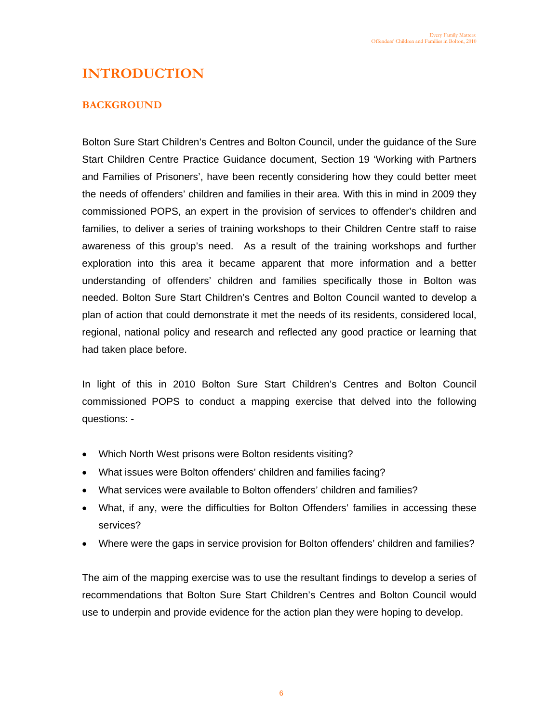# **INTRODUCTION**

# **BACKGROUND**

Bolton Sure Start Children's Centres and Bolton Council, under the guidance of the Sure Start Children Centre Practice Guidance document, Section 19 'Working with Partners and Families of Prisoners', have been recently considering how they could better meet the needs of offenders' children and families in their area. With this in mind in 2009 they commissioned POPS, an expert in the provision of services to offender's children and families, to deliver a series of training workshops to their Children Centre staff to raise awareness of this group's need. As a result of the training workshops and further exploration into this area it became apparent that more information and a better understanding of offenders' children and families specifically those in Bolton was needed. Bolton Sure Start Children's Centres and Bolton Council wanted to develop a plan of action that could demonstrate it met the needs of its residents, considered local, regional, national policy and research and reflected any good practice or learning that had taken place before.

In light of this in 2010 Bolton Sure Start Children's Centres and Bolton Council commissioned POPS to conduct a mapping exercise that delved into the following questions: -

- Which North West prisons were Bolton residents visiting?
- What issues were Bolton offenders' children and families facing?
- What services were available to Bolton offenders' children and families?
- What, if any, were the difficulties for Bolton Offenders' families in accessing these services?
- Where were the gaps in service provision for Bolton offenders' children and families?

The aim of the mapping exercise was to use the resultant findings to develop a series of recommendations that Bolton Sure Start Children's Centres and Bolton Council would use to underpin and provide evidence for the action plan they were hoping to develop.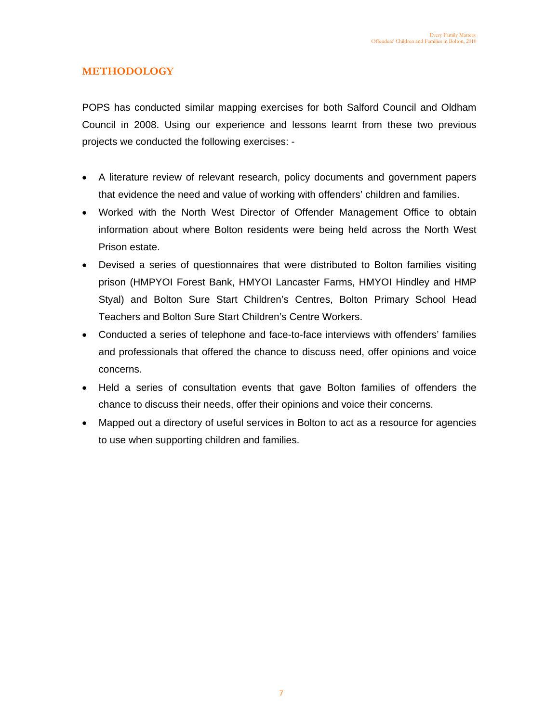### **METHODOLOGY**

POPS has conducted similar mapping exercises for both Salford Council and Oldham Council in 2008. Using our experience and lessons learnt from these two previous projects we conducted the following exercises: -

- A literature review of relevant research, policy documents and government papers that evidence the need and value of working with offenders' children and families.
- Worked with the North West Director of Offender Management Office to obtain information about where Bolton residents were being held across the North West Prison estate.
- Devised a series of questionnaires that were distributed to Bolton families visiting prison (HMPYOI Forest Bank, HMYOI Lancaster Farms, HMYOI Hindley and HMP Styal) and Bolton Sure Start Children's Centres, Bolton Primary School Head Teachers and Bolton Sure Start Children's Centre Workers.
- Conducted a series of telephone and face-to-face interviews with offenders' families and professionals that offered the chance to discuss need, offer opinions and voice concerns.
- Held a series of consultation events that gave Bolton families of offenders the chance to discuss their needs, offer their opinions and voice their concerns.
- Mapped out a directory of useful services in Bolton to act as a resource for agencies to use when supporting children and families.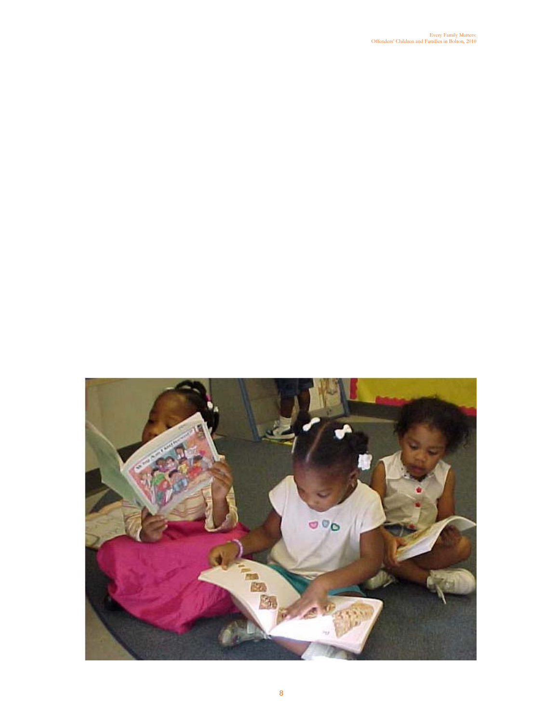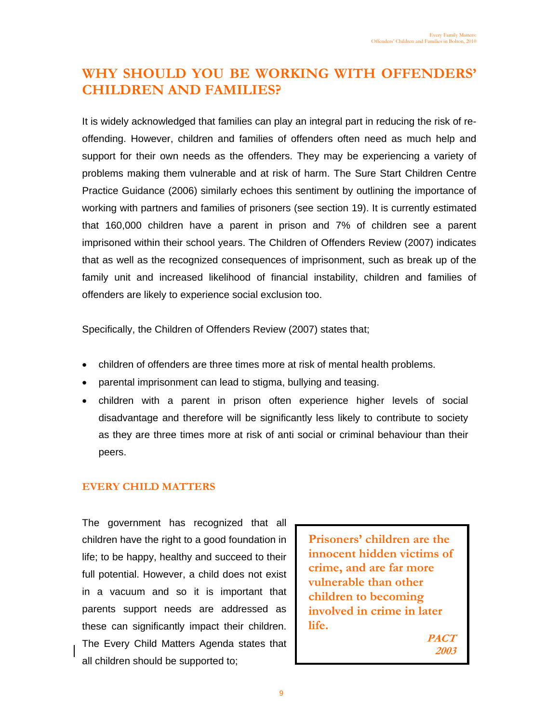# **WHY SHOULD YOU BE WORKING WITH OFFENDERS' CHILDREN AND FAMILIES?**

It is widely acknowledged that families can play an integral part in reducing the risk of reoffending. However, children and families of offenders often need as much help and support for their own needs as the offenders. They may be experiencing a variety of problems making them vulnerable and at risk of harm. The Sure Start Children Centre Practice Guidance (2006) similarly echoes this sentiment by outlining the importance of working with partners and families of prisoners (see section 19). It is currently estimated that 160,000 children have a parent in prison and 7% of children see a parent imprisoned within their school years. The Children of Offenders Review (2007) indicates that as well as the recognized consequences of imprisonment, such as break up of the family unit and increased likelihood of financial instability, children and families of offenders are likely to experience social exclusion too.

Specifically, the Children of Offenders Review (2007) states that;

- children of offenders are three times more at risk of mental health problems.
- parental imprisonment can lead to stigma, bullying and teasing.
- children with a parent in prison often experience higher levels of social disadvantage and therefore will be significantly less likely to contribute to society as they are three times more at risk of anti social or criminal behaviour than their peers.

#### **EVERY CHILD MATTERS**

The government has recognized that all children have the right to a good foundation in life; to be happy, healthy and succeed to their full potential. However, a child does not exist in a vacuum and so it is important that parents support needs are addressed as these can significantly impact their children. The Every Child Matters Agenda states that all children should be supported to;

**Prisoners' children are the innocent hidden victims of crime, and are far more vulnerable than other children to becoming involved in crime in later life.** 

> **PACT 2003**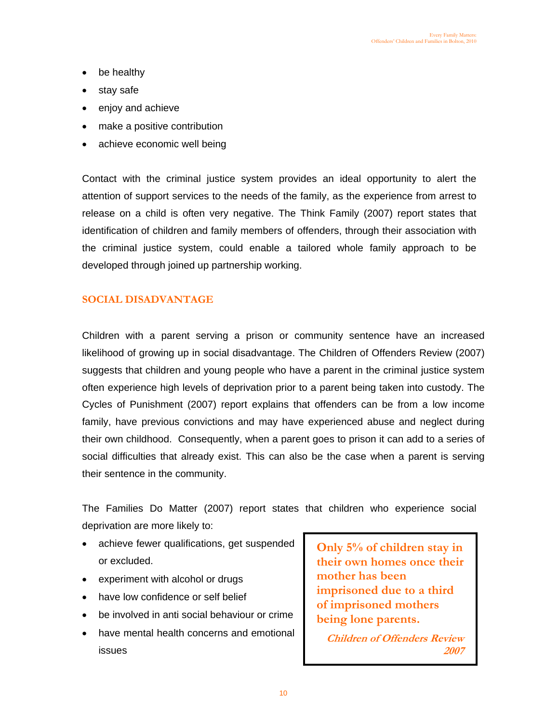- be healthy
- stay safe
- enjoy and achieve
- make a positive contribution
- achieve economic well being

Contact with the criminal justice system provides an ideal opportunity to alert the attention of support services to the needs of the family, as the experience from arrest to release on a child is often very negative. The Think Family (2007) report states that identification of children and family members of offenders, through their association with the criminal justice system, could enable a tailored whole family approach to be developed through joined up partnership working.

#### **SOCIAL DISADVANTAGE**

Children with a parent serving a prison or community sentence have an increased likelihood of growing up in social disadvantage. The Children of Offenders Review (2007) suggests that children and young people who have a parent in the criminal justice system often experience high levels of deprivation prior to a parent being taken into custody. The Cycles of Punishment (2007) report explains that offenders can be from a low income family, have previous convictions and may have experienced abuse and neglect during their own childhood. Consequently, when a parent goes to prison it can add to a series of social difficulties that already exist. This can also be the case when a parent is serving their sentence in the community.

The Families Do Matter (2007) report states that children who experience social deprivation are more likely to:

- achieve fewer qualifications, get suspended or excluded.
- experiment with alcohol or drugs
- have low confidence or self belief
- be involved in anti social behaviour or crime
- have mental health concerns and emotional issues

**Only 5% of children stay in their own homes once their mother has been imprisoned due to a third of imprisoned mothers being lone parents.** 

**Children of Offenders Review 2007**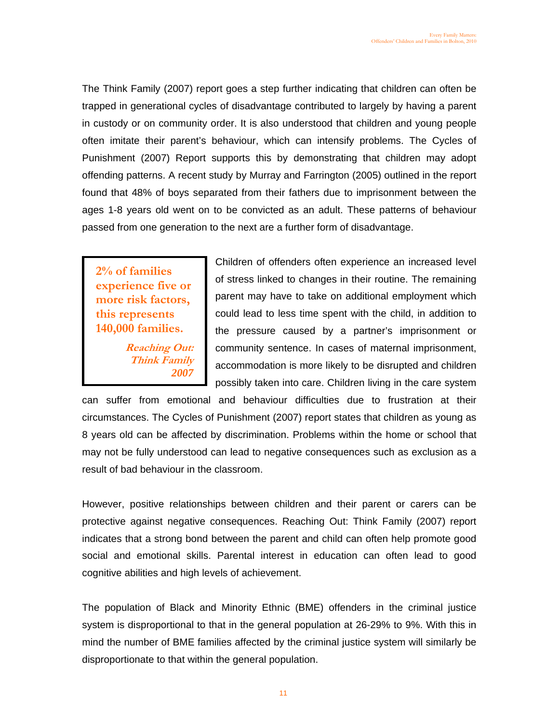The Think Family (2007) report goes a step further indicating that children can often be trapped in generational cycles of disadvantage contributed to largely by having a parent in custody or on community order. It is also understood that children and young people often imitate their parent's behaviour, which can intensify problems. The Cycles of Punishment (2007) Report supports this by demonstrating that children may adopt offending patterns. A recent study by Murray and Farrington (2005) outlined in the report found that 48% of boys separated from their fathers due to imprisonment between the ages 1-8 years old went on to be convicted as an adult. These patterns of behaviour passed from one generation to the next are a further form of disadvantage.

**2% of families experience five or more risk factors, this represents 140,000 families.** 

> **Reaching Out: Think Family**  *2007*

Children of offenders often experience an increased level of stress linked to changes in their routine. The remaining parent may have to take on additional employment which could lead to less time spent with the child, in addition to the pressure caused by a partner's imprisonment or community sentence. In cases of maternal imprisonment, accommodation is more likely to be disrupted and children possibly taken into care. Children living in the care system

can suffer from emotional and behaviour difficulties due to frustration at their circumstances. The Cycles of Punishment (2007) report states that children as young as 8 years old can be affected by discrimination. Problems within the home or school that may not be fully understood can lead to negative consequences such as exclusion as a result of bad behaviour in the classroom.

However, positive relationships between children and their parent or carers can be protective against negative consequences. Reaching Out: Think Family (2007) report indicates that a strong bond between the parent and child can often help promote good social and emotional skills. Parental interest in education can often lead to good cognitive abilities and high levels of achievement.

The population of Black and Minority Ethnic (BME) offenders in the criminal justice system is disproportional to that in the general population at 26-29% to 9%. With this in mind the number of BME families affected by the criminal justice system will similarly be disproportionate to that within the general population.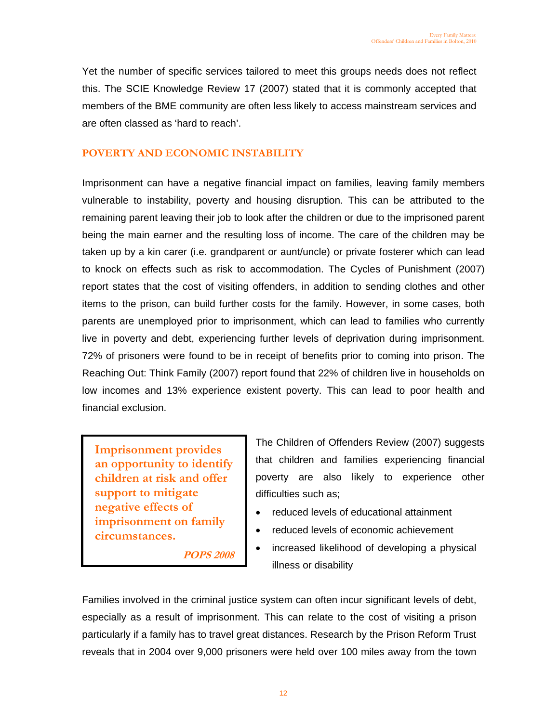Yet the number of specific services tailored to meet this groups needs does not reflect this. The SCIE Knowledge Review 17 (2007) stated that it is commonly accepted that members of the BME community are often less likely to access mainstream services and are often classed as 'hard to reach'.

### **POVERTY AND ECONOMIC INSTABILITY**

Imprisonment can have a negative financial impact on families, leaving family members vulnerable to instability, poverty and housing disruption. This can be attributed to the remaining parent leaving their job to look after the children or due to the imprisoned parent being the main earner and the resulting loss of income. The care of the children may be taken up by a kin carer (i.e. grandparent or aunt/uncle) or private fosterer which can lead to knock on effects such as risk to accommodation. The Cycles of Punishment (2007) report states that the cost of visiting offenders, in addition to sending clothes and other items to the prison, can build further costs for the family. However, in some cases, both parents are unemployed prior to imprisonment, which can lead to families who currently live in poverty and debt, experiencing further levels of deprivation during imprisonment. 72% of prisoners were found to be in receipt of benefits prior to coming into prison. The Reaching Out: Think Family (2007) report found that 22% of children live in households on low incomes and 13% experience existent poverty. This can lead to poor health and financial exclusion.

**Imprisonment provides an opportunity to identify children at risk and offer support to mitigate negative effects of imprisonment on family circumstances.**

**POPS 2008**

The Children of Offenders Review (2007) suggests that children and families experiencing financial poverty are also likely to experience other difficulties such as;

- reduced levels of educational attainment
- reduced levels of economic achievement
- increased likelihood of developing a physical illness or disability

Families involved in the criminal justice system can often incur significant levels of debt, especially as a result of imprisonment. This can relate to the cost of visiting a prison particularly if a family has to travel great distances. Research by the Prison Reform Trust reveals that in 2004 over 9,000 prisoners were held over 100 miles away from the town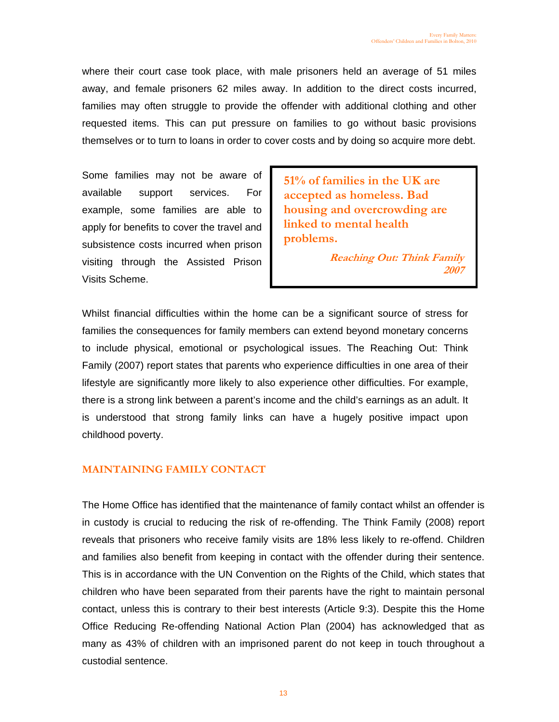where their court case took place, with male prisoners held an average of 51 miles away, and female prisoners 62 miles away. In addition to the direct costs incurred, families may often struggle to provide the offender with additional clothing and other requested items. This can put pressure on families to go without basic provisions themselves or to turn to loans in order to cover costs and by doing so acquire more debt.

Some families may not be aware of available support services. For example, some families are able to apply for benefits to cover the travel and subsistence costs incurred when prison visiting through the Assisted Prison Visits Scheme.

**51% of families in the UK are accepted as homeless. Bad housing and overcrowding are linked to mental health problems.**

> **Reaching Out: Think Family 2007**

Whilst financial difficulties within the home can be a significant source of stress for families the consequences for family members can extend beyond monetary concerns to include physical, emotional or psychological issues. The Reaching Out: Think Family (2007) report states that parents who experience difficulties in one area of their lifestyle are significantly more likely to also experience other difficulties. For example, there is a strong link between a parent's income and the child's earnings as an adult. It is understood that strong family links can have a hugely positive impact upon childhood poverty.

#### **MAINTAINING FAMILY CONTACT**

The Home Office has identified that the maintenance of family contact whilst an offender is in custody is crucial to reducing the risk of re-offending. The Think Family (2008) report reveals that prisoners who receive family visits are 18% less likely to re-offend. Children and families also benefit from keeping in contact with the offender during their sentence. This is in accordance with the UN Convention on the Rights of the Child, which states that children who have been separated from their parents have the right to maintain personal contact, unless this is contrary to their best interests (Article 9:3). Despite this the Home Office Reducing Re-offending National Action Plan (2004) has acknowledged that as many as 43% of children with an imprisoned parent do not keep in touch throughout a custodial sentence.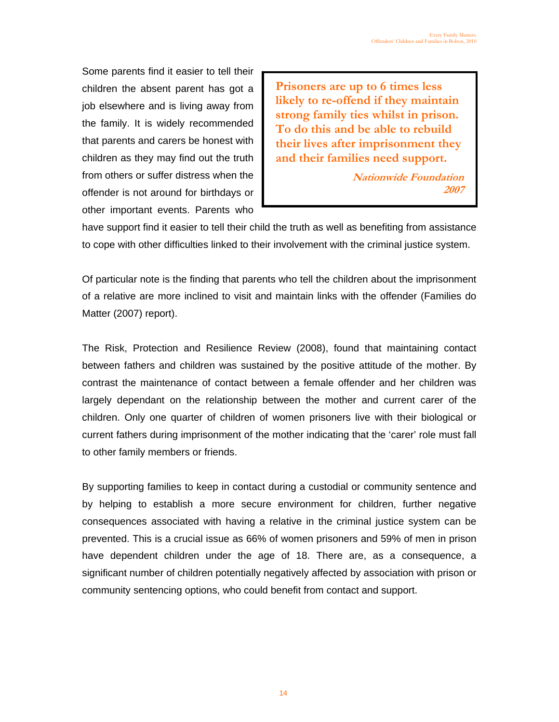Some parents find it easier to tell their children the absent parent has got a job elsewhere and is living away from the family. It is widely recommended that parents and carers be honest with children as they may find out the truth from others or suffer distress when the offender is not around for birthdays or other important events. Parents who

**Prisoners are up to 6 times less likely to re-offend if they maintain strong family ties whilst in prison. To do this and be able to rebuild their lives after imprisonment they and their families need support.** 

> **Nationwide Foundation 2007**

have support find it easier to tell their child the truth as well as benefiting from assistance to cope with other difficulties linked to their involvement with the criminal justice system.

Of particular note is the finding that parents who tell the children about the imprisonment of a relative are more inclined to visit and maintain links with the offender (Families do Matter (2007) report).

The Risk, Protection and Resilience Review (2008), found that maintaining contact between fathers and children was sustained by the positive attitude of the mother. By contrast the maintenance of contact between a female offender and her children was largely dependant on the relationship between the mother and current carer of the children. Only one quarter of children of women prisoners live with their biological or current fathers during imprisonment of the mother indicating that the 'carer' role must fall to other family members or friends.

By supporting families to keep in contact during a custodial or community sentence and by helping to establish a more secure environment for children, further negative consequences associated with having a relative in the criminal justice system can be prevented. This is a crucial issue as 66% of women prisoners and 59% of men in prison have dependent children under the age of 18. There are, as a consequence, a significant number of children potentially negatively affected by association with prison or community sentencing options, who could benefit from contact and support.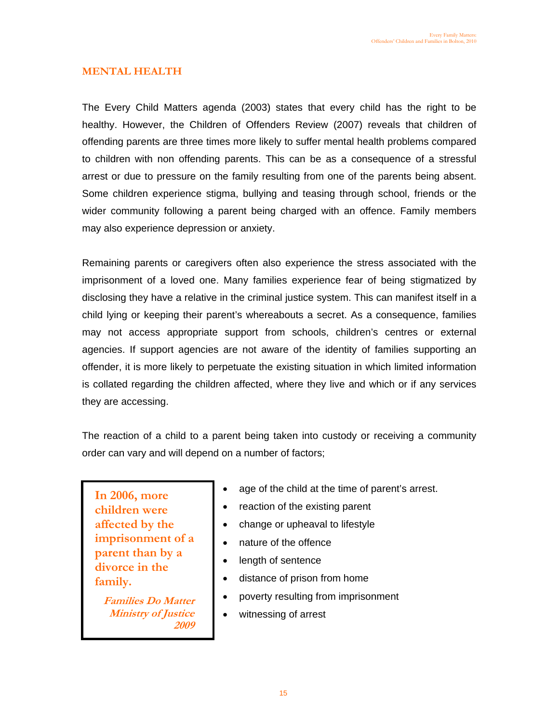#### **MENTAL HEALTH**

The Every Child Matters agenda (2003) states that every child has the right to be healthy. However, the Children of Offenders Review (2007) reveals that children of offending parents are three times more likely to suffer mental health problems compared to children with non offending parents. This can be as a consequence of a stressful arrest or due to pressure on the family resulting from one of the parents being absent. Some children experience stigma, bullying and teasing through school, friends or the wider community following a parent being charged with an offence. Family members may also experience depression or anxiety.

Remaining parents or caregivers often also experience the stress associated with the imprisonment of a loved one. Many families experience fear of being stigmatized by disclosing they have a relative in the criminal justice system. This can manifest itself in a child lying or keeping their parent's whereabouts a secret. As a consequence, families may not access appropriate support from schools, children's centres or external agencies. If support agencies are not aware of the identity of families supporting an offender, it is more likely to perpetuate the existing situation in which limited information is collated regarding the children affected, where they live and which or if any services they are accessing.

The reaction of a child to a parent being taken into custody or receiving a community order can vary and will depend on a number of factors;

**In 2006, more children were affected by the imprisonment of a parent than by a divorce in the family.**

**Families Do Matter Ministry of Justice 2009**

- age of the child at the time of parent's arrest.
- reaction of the existing parent
- change or upheaval to lifestyle
- nature of the offence
- length of sentence
- distance of prison from home
- poverty resulting from imprisonment
- witnessing of arrest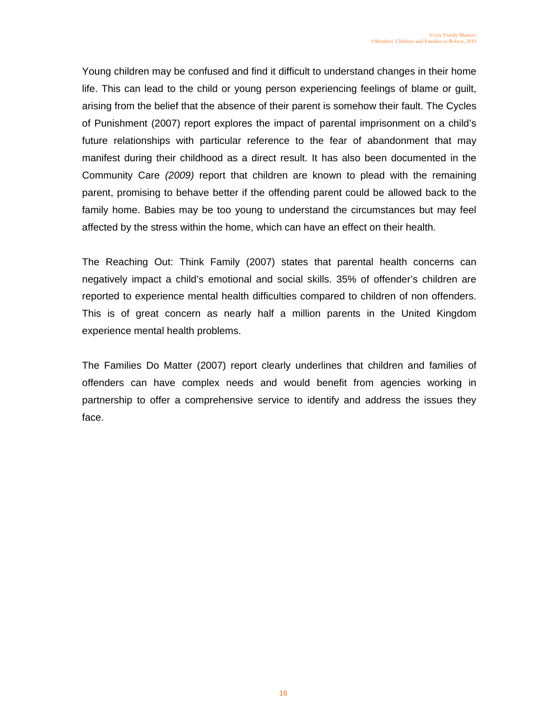Young children may be confused and find it difficult to understand changes in their home life. This can lead to the child or young person experiencing feelings of blame or guilt, arising from the belief that the absence of their parent is somehow their fault. The Cycles of Punishment (2007) report explores the impact of parental imprisonment on a child's future relationships with particular reference to the fear of abandonment that may manifest during their childhood as a direct result. It has also been documented in the Community Care *(2009)* report that children are known to plead with the remaining parent, promising to behave better if the offending parent could be allowed back to the family home. Babies may be too young to understand the circumstances but may feel affected by the stress within the home, which can have an effect on their health.

The Reaching Out: Think Family (2007) states that parental health concerns can negatively impact a child's emotional and social skills. 35% of offender's children are reported to experience mental health difficulties compared to children of non offenders. This is of great concern as nearly half a million parents in the United Kingdom experience mental health problems.

The Families Do Matter (2007) report clearly underlines that children and families of offenders can have complex needs and would benefit from agencies working in partnership to offer a comprehensive service to identify and address the issues they face.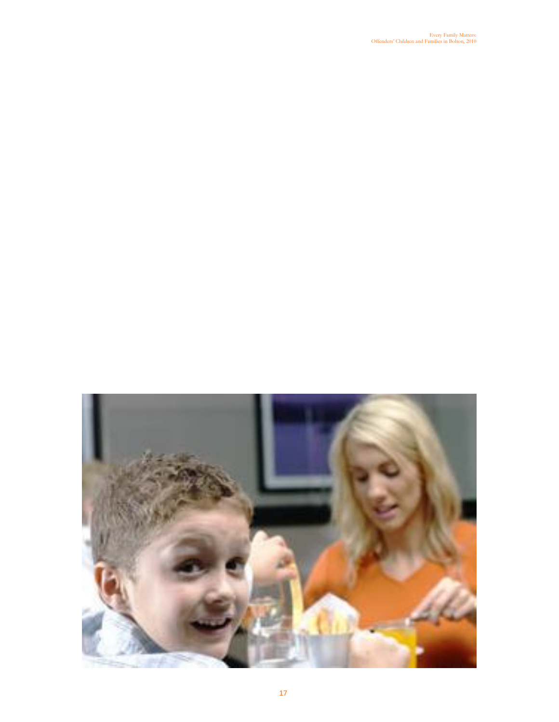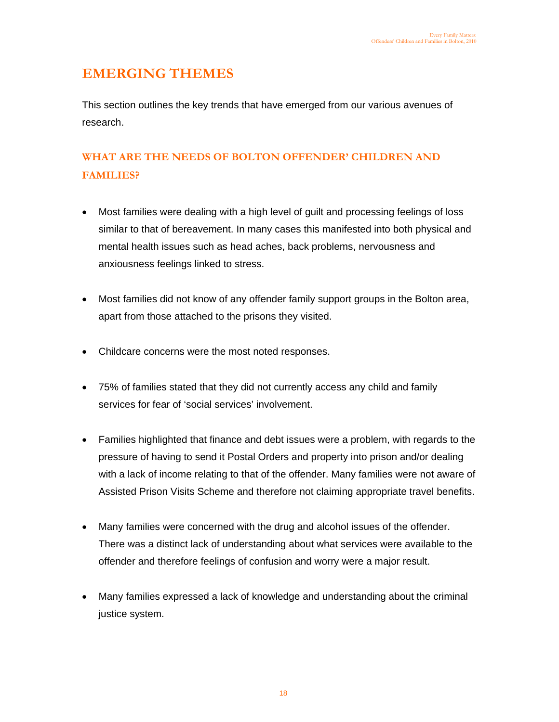# **EMERGING THEMES**

This section outlines the key trends that have emerged from our various avenues of research.

# **WHAT ARE THE NEEDS OF BOLTON OFFENDER' CHILDREN AND FAMILIES?**

- Most families were dealing with a high level of guilt and processing feelings of loss similar to that of bereavement. In many cases this manifested into both physical and mental health issues such as head aches, back problems, nervousness and anxiousness feelings linked to stress.
- Most families did not know of any offender family support groups in the Bolton area, apart from those attached to the prisons they visited.
- Childcare concerns were the most noted responses.
- 75% of families stated that they did not currently access any child and family services for fear of 'social services' involvement.
- Families highlighted that finance and debt issues were a problem, with regards to the pressure of having to send it Postal Orders and property into prison and/or dealing with a lack of income relating to that of the offender. Many families were not aware of Assisted Prison Visits Scheme and therefore not claiming appropriate travel benefits.
- Many families were concerned with the drug and alcohol issues of the offender. There was a distinct lack of understanding about what services were available to the offender and therefore feelings of confusion and worry were a major result.
- Many families expressed a lack of knowledge and understanding about the criminal justice system.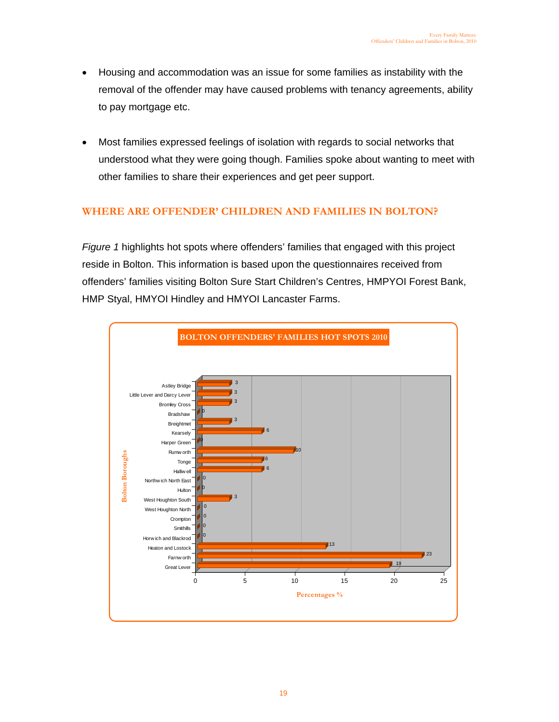- Housing and accommodation was an issue for some families as instability with the removal of the offender may have caused problems with tenancy agreements, ability to pay mortgage etc.
- Most families expressed feelings of isolation with regards to social networks that understood what they were going though. Families spoke about wanting to meet with other families to share their experiences and get peer support.

# **WHERE ARE OFFENDER' CHILDREN AND FAMILIES IN BOLTON?**

*Figure 1* highlights hot spots where offenders' families that engaged with this project reside in Bolton. This information is based upon the questionnaires received from offenders' families visiting Bolton Sure Start Children's Centres, HMPYOI Forest Bank, HMP Styal, HMYOI Hindley and HMYOI Lancaster Farms.

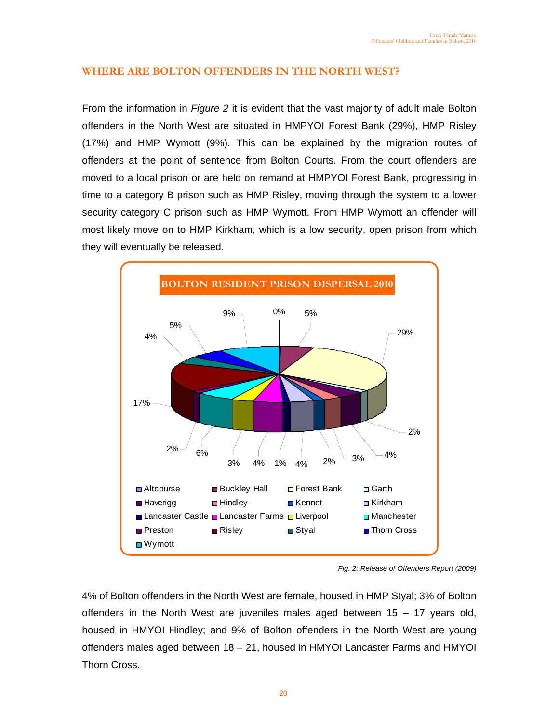#### **WHERE ARE BOLTON OFFENDERS IN THE NORTH WEST?**

From the information in *Figure 2* it is evident that the vast majority of adult male Bolton offenders in the North West are situated in HMPYOI Forest Bank (29%), HMP Risley (17%) and HMP Wymott (9%). This can be explained by the migration routes of offenders at the point of sentence from Bolton Courts. From the court offenders are moved to a local prison or are held on remand at HMPYOI Forest Bank, progressing in time to a category B prison such as HMP Risley, moving through the system to a lower security category C prison such as HMP Wymott. From HMP Wymott an offender will most likely move on to HMP Kirkham, which is a low security, open prison from which they will eventually be released.



*Fig. 2: Release of Offenders Report (2009)* 

4% of Bolton offenders in the North West are female, housed in HMP Styal; 3% of Bolton offenders in the North West are juveniles males aged between 15 – 17 years old, housed in HMYOI Hindley; and 9% of Bolton offenders in the North West are young offenders males aged between 18 – 21, housed in HMYOI Lancaster Farms and HMYOI Thorn Cross.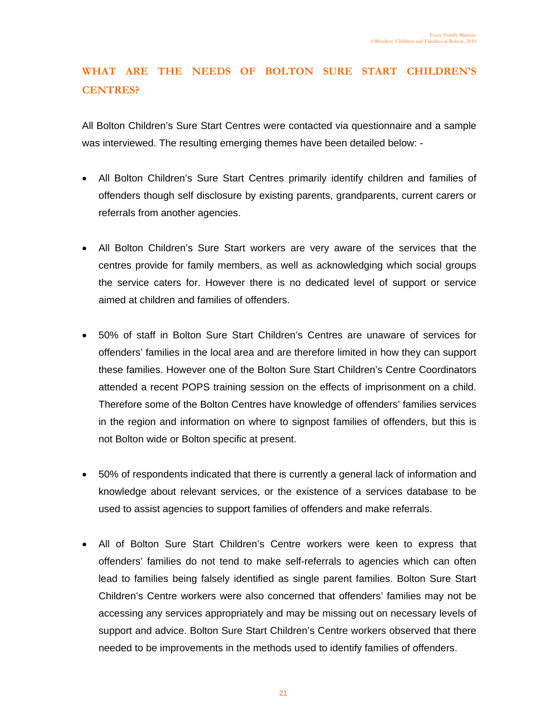# **WHAT ARE THE NEEDS OF BOLTON SURE START CHILDREN'S CENTRES?**

All Bolton Children's Sure Start Centres were contacted via questionnaire and a sample was interviewed. The resulting emerging themes have been detailed below: -

- All Bolton Children's Sure Start Centres primarily identify children and families of offenders though self disclosure by existing parents, grandparents, current carers or referrals from another agencies.
- All Bolton Children's Sure Start workers are very aware of the services that the centres provide for family members, as well as acknowledging which social groups the service caters for. However there is no dedicated level of support or service aimed at children and families of offenders.
- 50% of staff in Bolton Sure Start Children's Centres are unaware of services for offenders' families in the local area and are therefore limited in how they can support these families. However one of the Bolton Sure Start Children's Centre Coordinators attended a recent POPS training session on the effects of imprisonment on a child. Therefore some of the Bolton Centres have knowledge of offenders' families services in the region and information on where to signpost families of offenders, but this is not Bolton wide or Bolton specific at present.
- 50% of respondents indicated that there is currently a general lack of information and knowledge about relevant services, or the existence of a services database to be used to assist agencies to support families of offenders and make referrals.
- All of Bolton Sure Start Children's Centre workers were keen to express that offenders' families do not tend to make self-referrals to agencies which can often lead to families being falsely identified as single parent families. Bolton Sure Start Children's Centre workers were also concerned that offenders' families may not be accessing any services appropriately and may be missing out on necessary levels of support and advice. Bolton Sure Start Children's Centre workers observed that there needed to be improvements in the methods used to identify families of offenders.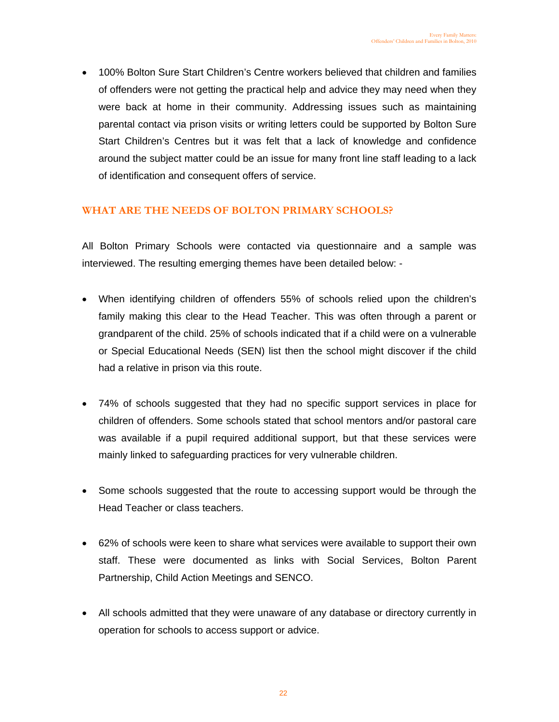• 100% Bolton Sure Start Children's Centre workers believed that children and families of offenders were not getting the practical help and advice they may need when they were back at home in their community. Addressing issues such as maintaining parental contact via prison visits or writing letters could be supported by Bolton Sure Start Children's Centres but it was felt that a lack of knowledge and confidence around the subject matter could be an issue for many front line staff leading to a lack of identification and consequent offers of service.

# **WHAT ARE THE NEEDS OF BOLTON PRIMARY SCHOOLS?**

All Bolton Primary Schools were contacted via questionnaire and a sample was interviewed. The resulting emerging themes have been detailed below: -

- When identifying children of offenders 55% of schools relied upon the children's family making this clear to the Head Teacher. This was often through a parent or grandparent of the child. 25% of schools indicated that if a child were on a vulnerable or Special Educational Needs (SEN) list then the school might discover if the child had a relative in prison via this route.
- 74% of schools suggested that they had no specific support services in place for children of offenders. Some schools stated that school mentors and/or pastoral care was available if a pupil required additional support, but that these services were mainly linked to safeguarding practices for very vulnerable children.
- Some schools suggested that the route to accessing support would be through the Head Teacher or class teachers.
- 62% of schools were keen to share what services were available to support their own staff. These were documented as links with Social Services, Bolton Parent Partnership, Child Action Meetings and SENCO.
- All schools admitted that they were unaware of any database or directory currently in operation for schools to access support or advice.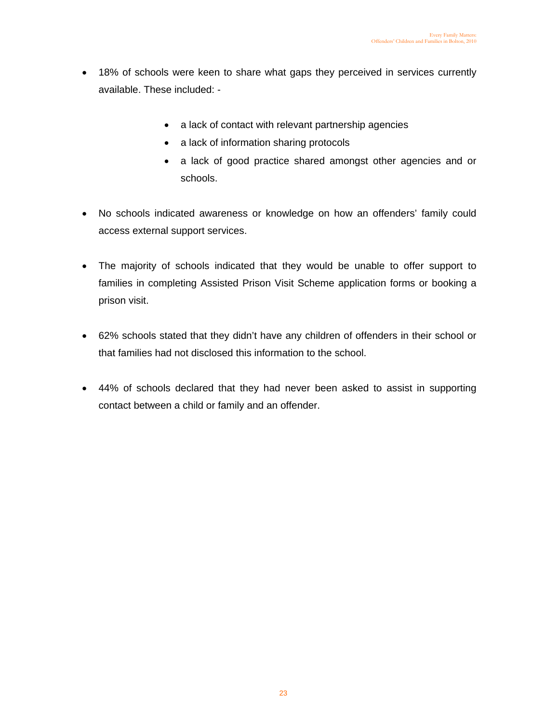- 18% of schools were keen to share what gaps they perceived in services currently available. These included: -
	- a lack of contact with relevant partnership agencies
	- a lack of information sharing protocols
	- a lack of good practice shared amongst other agencies and or schools.
- No schools indicated awareness or knowledge on how an offenders' family could access external support services.
- The majority of schools indicated that they would be unable to offer support to families in completing Assisted Prison Visit Scheme application forms or booking a prison visit.
- 62% schools stated that they didn't have any children of offenders in their school or that families had not disclosed this information to the school.
- 44% of schools declared that they had never been asked to assist in supporting contact between a child or family and an offender.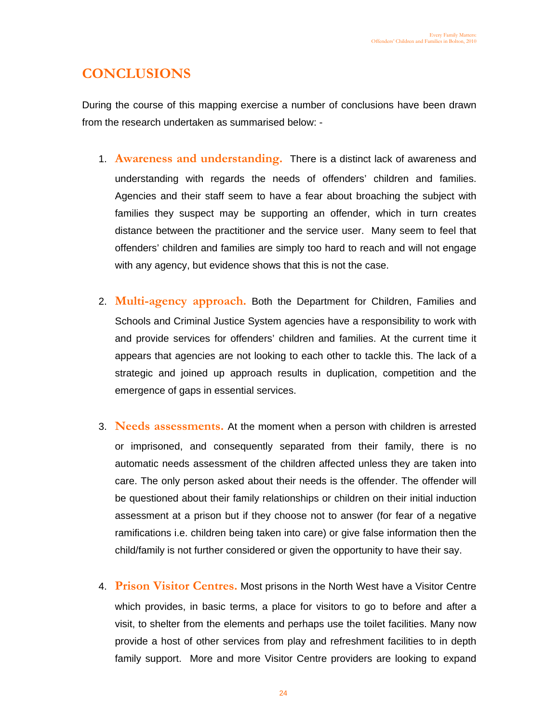# **CONCLUSIONS**

During the course of this mapping exercise a number of conclusions have been drawn from the research undertaken as summarised below: -

- 1. **Awareness and understanding.** There is a distinct lack of awareness and understanding with regards the needs of offenders' children and families. Agencies and their staff seem to have a fear about broaching the subject with families they suspect may be supporting an offender, which in turn creates distance between the practitioner and the service user. Many seem to feel that offenders' children and families are simply too hard to reach and will not engage with any agency, but evidence shows that this is not the case.
- 2. **Multi-agency approach.** Both the Department for Children, Families and Schools and Criminal Justice System agencies have a responsibility to work with and provide services for offenders' children and families. At the current time it appears that agencies are not looking to each other to tackle this. The lack of a strategic and joined up approach results in duplication, competition and the emergence of gaps in essential services.
- 3. **Needs assessments.** At the moment when a person with children is arrested or imprisoned, and consequently separated from their family, there is no automatic needs assessment of the children affected unless they are taken into care. The only person asked about their needs is the offender. The offender will be questioned about their family relationships or children on their initial induction assessment at a prison but if they choose not to answer (for fear of a negative ramifications i.e. children being taken into care) or give false information then the child/family is not further considered or given the opportunity to have their say.
- 4. **Prison Visitor Centres.** Most prisons in the North West have a Visitor Centre which provides, in basic terms, a place for visitors to go to before and after a visit, to shelter from the elements and perhaps use the toilet facilities. Many now provide a host of other services from play and refreshment facilities to in depth family support. More and more Visitor Centre providers are looking to expand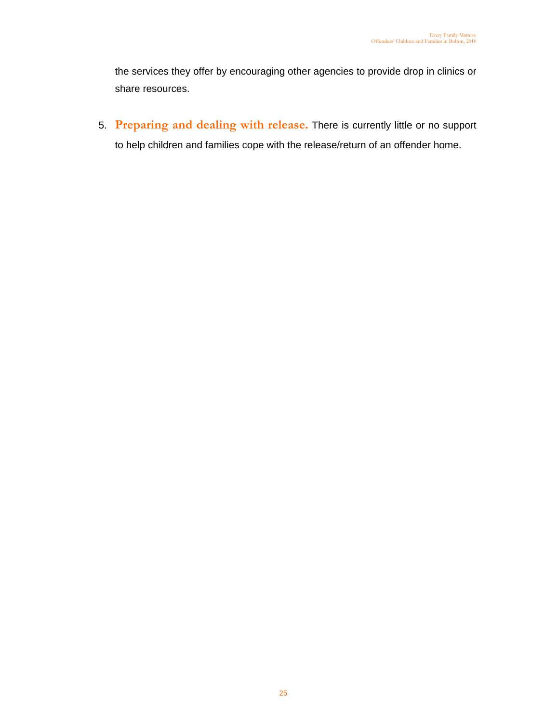the services they offer by encouraging other agencies to provide drop in clinics or share resources.

5. **Preparing and dealing with release.** There is currently little or no support to help children and families cope with the release/return of an offender home.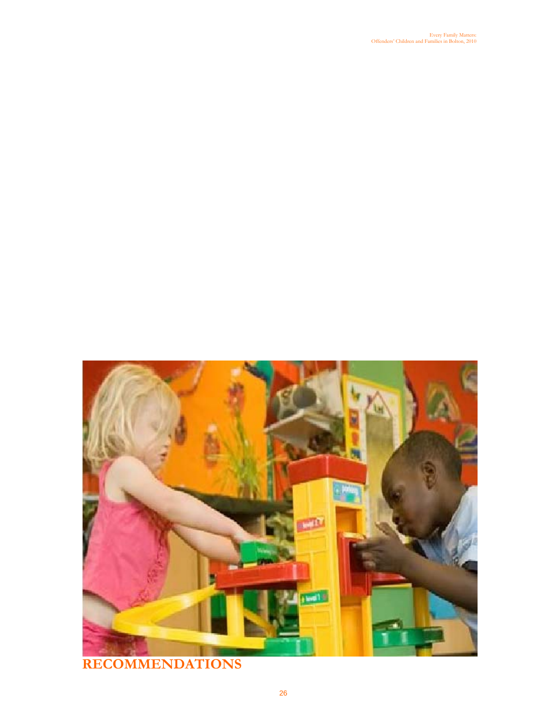

**RECOMMENDATIONS**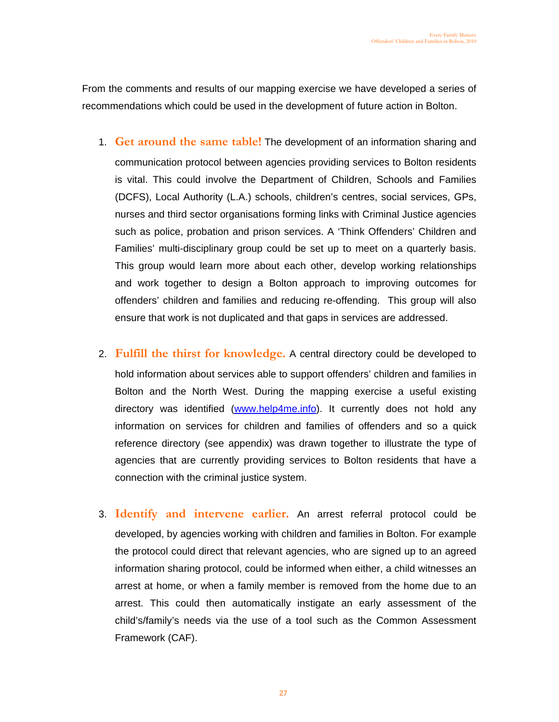From the comments and results of our mapping exercise we have developed a series of recommendations which could be used in the development of future action in Bolton.

- 1. **Get around the same table!** The development of an information sharing and communication protocol between agencies providing services to Bolton residents is vital. This could involve the Department of Children, Schools and Families (DCFS), Local Authority (L.A.) schools, children's centres, social services, GPs, nurses and third sector organisations forming links with Criminal Justice agencies such as police, probation and prison services. A 'Think Offenders' Children and Families' multi-disciplinary group could be set up to meet on a quarterly basis. This group would learn more about each other, develop working relationships and work together to design a Bolton approach to improving outcomes for offenders' children and families and reducing re-offending. This group will also ensure that work is not duplicated and that gaps in services are addressed.
- 2. **Fulfill the thirst for knowledge.** A central directory could be developed to hold information about services able to support offenders' children and families in Bolton and the North West. During the mapping exercise a useful existing directory was identified ([www.help4me.info\)](http://www.help4me.info/). It currently does not hold any information on services for children and families of offenders and so a quick reference directory (see appendix) was drawn together to illustrate the type of agencies that are currently providing services to Bolton residents that have a connection with the criminal justice system.
- 3. **Identify and intervene earlier.** An arrest referral protocol could be developed, by agencies working with children and families in Bolton. For example the protocol could direct that relevant agencies, who are signed up to an agreed information sharing protocol, could be informed when either, a child witnesses an arrest at home, or when a family member is removed from the home due to an arrest. This could then automatically instigate an early assessment of the child's/family's needs via the use of a tool such as the Common Assessment Framework (CAF).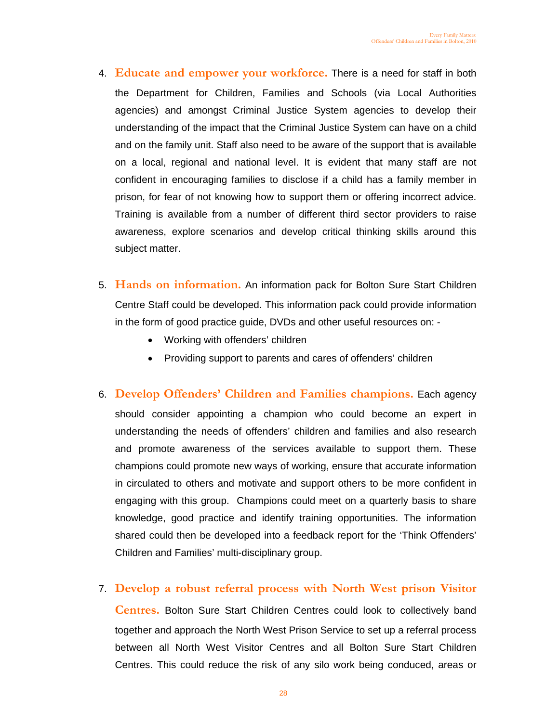- 4. **Educate and empower your workforce.** There is a need for staff in both the Department for Children, Families and Schools (via Local Authorities agencies) and amongst Criminal Justice System agencies to develop their understanding of the impact that the Criminal Justice System can have on a child and on the family unit. Staff also need to be aware of the support that is available on a local, regional and national level. It is evident that many staff are not confident in encouraging families to disclose if a child has a family member in prison, for fear of not knowing how to support them or offering incorrect advice. Training is available from a number of different third sector providers to raise awareness, explore scenarios and develop critical thinking skills around this subject matter.
- 5. **Hands on information.** An information pack for Bolton Sure Start Children Centre Staff could be developed. This information pack could provide information in the form of good practice guide, DVDs and other useful resources on: -
	- Working with offenders' children
	- Providing support to parents and cares of offenders' children
- 6. **Develop Offenders' Children and Families champions.** Each agency should consider appointing a champion who could become an expert in understanding the needs of offenders' children and families and also research and promote awareness of the services available to support them. These champions could promote new ways of working, ensure that accurate information in circulated to others and motivate and support others to be more confident in engaging with this group. Champions could meet on a quarterly basis to share knowledge, good practice and identify training opportunities. The information shared could then be developed into a feedback report for the 'Think Offenders' Children and Families' multi-disciplinary group.

#### 7. **Develop a robust referral process with North West prison Visitor**

**Centres.** Bolton Sure Start Children Centres could look to collectively band together and approach the North West Prison Service to set up a referral process between all North West Visitor Centres and all Bolton Sure Start Children Centres. This could reduce the risk of any silo work being conduced, areas or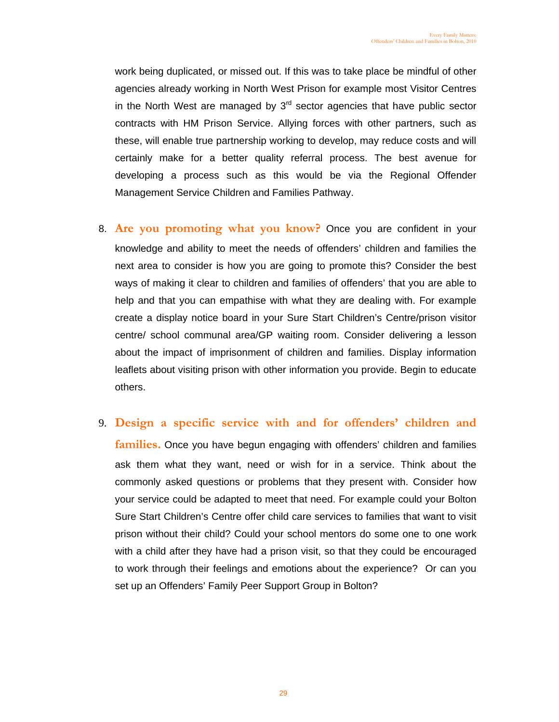work being duplicated, or missed out. If this was to take place be mindful of other agencies already working in North West Prison for example most Visitor Centres in the North West are managed by  $3<sup>rd</sup>$  sector agencies that have public sector contracts with HM Prison Service. Allying forces with other partners, such as these, will enable true partnership working to develop, may reduce costs and will certainly make for a better quality referral process. The best avenue for developing a process such as this would be via the Regional Offender Management Service Children and Families Pathway.

8. **Are you promoting what you know?** Once you are confident in your knowledge and ability to meet the needs of offenders' children and families the next area to consider is how you are going to promote this? Consider the best ways of making it clear to children and families of offenders' that you are able to help and that you can empathise with what they are dealing with. For example create a display notice board in your Sure Start Children's Centre/prison visitor centre/ school communal area/GP waiting room. Consider delivering a lesson about the impact of imprisonment of children and families. Display information leaflets about visiting prison with other information you provide. Begin to educate others.

#### 9. **Design a specific service with and for offenders' children and**

**families.** Once you have begun engaging with offenders' children and families ask them what they want, need or wish for in a service. Think about the commonly asked questions or problems that they present with. Consider how your service could be adapted to meet that need. For example could your Bolton Sure Start Children's Centre offer child care services to families that want to visit prison without their child? Could your school mentors do some one to one work with a child after they have had a prison visit, so that they could be encouraged to work through their feelings and emotions about the experience? Or can you set up an Offenders' Family Peer Support Group in Bolton?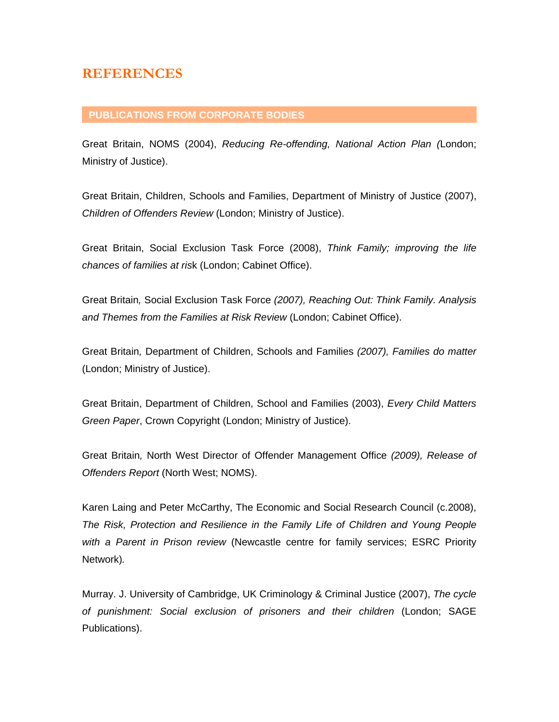# **REFERENCES**

#### **PUBLICATIONS FROM CORPORATE BODIES**

Great Britain, NOMS (2004), *Reducing Re-offending, National Action Plan (*London; Ministry of Justice).

Great Britain, Children, Schools and Families, Department of Ministry of Justice (2007), *Children of Offenders Review* (London; Ministry of Justice).

Great Britain, Social Exclusion Task Force (2008), *Think Family; improving the life chances of families at ris*k (London; Cabinet Office).

Great Britain*,* Social Exclusion Task Force *(2007), Reaching Out: Think Family. Analysis and Themes from the Families at Risk Review* (London; Cabinet Office).

Great Britain*,* Department of Children, Schools and Families *(2007), Families do matter*  (London; Ministry of Justice).

Great Britain, Department of Children, School and Families (2003), *Every Child Matters Green Paper*, Crown Copyright (London; Ministry of Justice).

Great Britain*,* North West Director of Offender Management Office *(2009), Release of Offenders Report* (North West; NOMS).

Karen Laing and Peter McCarthy, The Economic and Social Research Council (c.2008), *The Risk, Protection and Resilience in the Family Life of Children and Young People with a Parent in Prison review* (Newcastle centre for family services; ESRC Priority Network)*.*

Murray. J. University of Cambridge, UK Criminology & Criminal Justice (2007), *The cycle of punishment: Social exclusion of prisoners and their children* (London; SAGE Publications).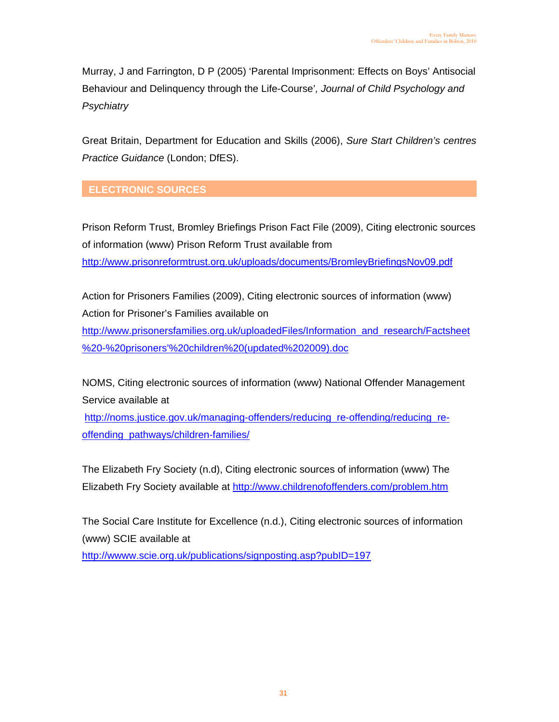Murray, J and Farrington, D P (2005) 'Parental Imprisonment: Effects on Boys' Antisocial Behaviour and Delinquency through the Life-Course'*, Journal of Child Psychology and Psychiatry*

Great Britain, Department for Education and Skills (2006), *Sure Start Children's centres Practice Guidance* (London; DfES).

# **ELECTRONIC SOURCES**

Prison Reform Trust, Bromley Briefings Prison Fact File (2009), Citing electronic sources of information (www) Prison Reform Trust available from <http://www.prisonreformtrust.org.uk/uploads/documents/BromleyBriefingsNov09.pdf>

Action for Prisoners Families (2009), Citing electronic sources of information (www) Action for Prisoner's Families available on

[http://www.prisonersfamilies.org.uk/uploadedFiles/Information\\_and\\_research/Factsheet](http://www.prisonersfamilies.org.uk/uploadedFiles/Information_and_research/Factsheet%20-%20prisoners) [%20-%20prisoners'%20children%20\(updated%202009\).doc](http://www.prisonersfamilies.org.uk/uploadedFiles/Information_and_research/Factsheet%20-%20prisoners)

NOMS, Citing electronic sources of information (www) National Offender Management Service available at

[http://noms.justice.gov.uk/managing-offenders/reducing\\_re-offending/reducing\\_re](http://noms.justice.gov.uk/managing-offenders/reducing_re-offending/reducing_re-offending_pathways/children-families/)[offending\\_pathways/children-families/](http://noms.justice.gov.uk/managing-offenders/reducing_re-offending/reducing_re-offending_pathways/children-families/)

The Elizabeth Fry Society (n.d), Citing electronic sources of information (www) The Elizabeth Fry Society available at<http://www.childrenofoffenders.com/problem.htm>

The Social Care Institute for Excellence (n.d.), Citing electronic sources of information (www) SCIE available at <http://wwww.scie.org.uk/publications/signposting.asp?pubID=197>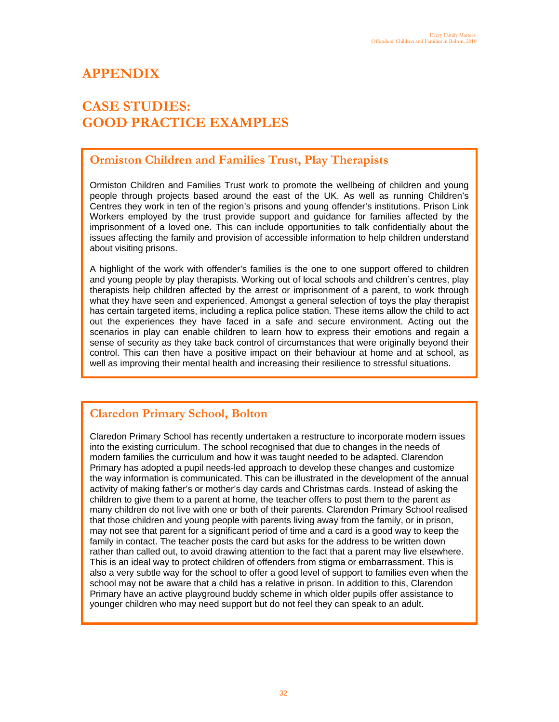# **APPENDIX**

# **CASE STUDIES: GOOD PRACTICE EXAMPLES**

# **Ormiston Children and Families Trust, Play Therapists**

Ormiston Children and Families Trust work to promote the wellbeing of children and young people through projects based around the east of the UK. As well as running Children's Centres they work in ten of the region's prisons and young offender's institutions. Prison Link Workers employed by the trust provide support and guidance for families affected by the imprisonment of a loved one. This can include opportunities to talk confidentially about the issues affecting the family and provision of accessible information to help children understand about visiting prisons.

A highlight of the work with offender's families is the one to one support offered to children and young people by play therapists. Working out of local schools and children's centres, play therapists help children affected by the arrest or imprisonment of a parent, to work through what they have seen and experienced. Amongst a general selection of toys the play therapist has certain targeted items, including a replica police station. These items allow the child to act out the experiences they have faced in a safe and secure environment. Acting out the scenarios in play can enable children to learn how to express their emotions and regain a sense of security as they take back control of circumstances that were originally beyond their control. This can then have a positive impact on their behaviour at home and at school, as well as improving their mental health and increasing their resilience to stressful situations.

# **Claredon Primary School, Bolton**

Claredon Primary School has recently undertaken a restructure to incorporate modern issues into the existing curriculum. The school recognised that due to changes in the needs of modern families the curriculum and how it was taught needed to be adapted. Clarendon Primary has adopted a pupil needs-led approach to develop these changes and customize the way information is communicated. This can be illustrated in the development of the annual activity of making father's or mother's day cards and Christmas cards. Instead of asking the children to give them to a parent at home, the teacher offers to post them to the parent as many children do not live with one or both of their parents. Clarendon Primary School realised that those children and young people with parents living away from the family, or in prison, may not see that parent for a significant period of time and a card is a good way to keep the family in contact. The teacher posts the card but asks for the address to be written down rather than called out, to avoid drawing attention to the fact that a parent may live elsewhere. This is an ideal way to protect children of offenders from stigma or embarrassment. This is also a very subtle way for the school to offer a good level of support to families even when the school may not be aware that a child has a relative in prison. In addition to this, Clarendon Primary have an active playground buddy scheme in which older pupils offer assistance to younger children who may need support but do not feel they can speak to an adult.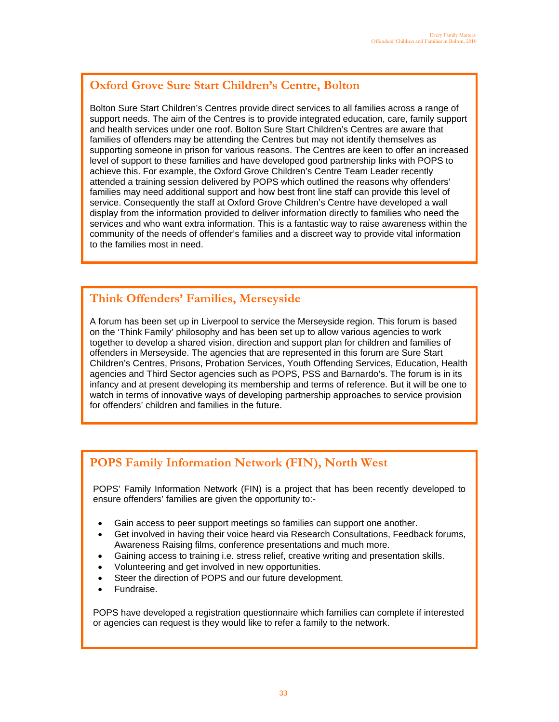# **Oxford Grove Sure Start Children's Centre, Bolton**

Bolton Sure Start Children's Centres provide direct services to all families across a range of support needs. The aim of the Centres is to provide integrated education, care, family support and health services under one roof. Bolton Sure Start Children's Centres are aware that families of offenders may be attending the Centres but may not identify themselves as supporting someone in prison for various reasons. The Centres are keen to offer an increased level of support to these families and have developed good partnership links with POPS to achieve this. For example, the Oxford Grove Children's Centre Team Leader recently attended a training session delivered by POPS which outlined the reasons why offenders' families may need additional support and how best front line staff can provide this level of service. Consequently the staff at Oxford Grove Children's Centre have developed a wall display from the information provided to deliver information directly to families who need the services and who want extra information. This is a fantastic way to raise awareness within the community of the needs of offender's families and a discreet way to provide vital information to the families most in need.

# **Think Offenders' Families, Merseyside**

A forum has been set up in Liverpool to service the Merseyside region. This forum is based on the 'Think Family' philosophy and has been set up to allow various agencies to work together to develop a shared vision, direction and support plan for children and families of offenders in Merseyside. The agencies that are represented in this forum are Sure Start Children's Centres, Prisons, Probation Services, Youth Offending Services, Education, Health agencies and Third Sector agencies such as POPS, PSS and Barnardo's. The forum is in its infancy and at present developing its membership and terms of reference. But it will be one to watch in terms of innovative ways of developing partnership approaches to service provision for offenders' children and families in the future.

# **POPS Family Information Network (FIN), North West**

POPS' Family Information Network (FIN) is a project that has been recently developed to ensure offenders' families are given the opportunity to:-

- Gain access to peer support meetings so families can support one another.
- Get involved in having their voice heard via Research Consultations, Feedback forums, Awareness Raising films, conference presentations and much more.
- Gaining access to training i.e. stress relief, creative writing and presentation skills.
- Volunteering and get involved in new opportunities.
- Steer the direction of POPS and our future development.
- Fundraise.

POPS have developed a registration questionnaire which families can complete if interested or agencies can request is they would like to refer a family to the network.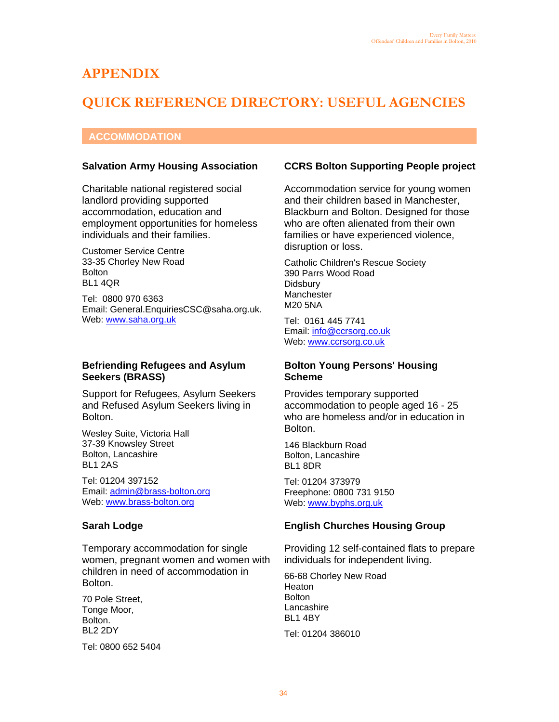# **APPENDIX**

# **QUICK REFERENCE DIRECTORY: USEFUL AGENCIES**

#### **ACCOMMODATION**

#### **Salvation Army Housing Association**

Charitable national registered social landlord providing supported accommodation, education and employment opportunities for homeless individuals and their families.

Customer Service Centre 33-35 Chorley New Road **Bolton** BL1 4QR

Tel: 0800 970 6363 Email: [General.EnquiriesCSC@saha.org.uk](mailto:General.EnquiriesCSC@saha.org.uk). Web: [www.saha.org.uk](http://www.saha.org.uk/) 

#### **[Befriending Refugees and Asylum](http://informationforfamilies.dcsf.gov.uk/details.aspx?recordID=22171&recordType=FSD&category=00-15) [Seekers](http://informationforfamilies.dcsf.gov.uk/details.aspx?recordID=22171&recordType=FSD&category=00-15) (BRASS)**

Support for Refugees, Asylum Seekers and Refused Asylum Seekers living in Bolton.

Wesley Suite, Victoria Hall 37-39 Knowsley Street Bolton, Lancashire BL1 2AS

Tel: 01204 397152 Email: [admin@brass-bolton.org](mailto:admin@brass-bolton.org) Web: [www.brass-bolton.org](http://www.brass-bolton.org/) 

#### **[Sarah](http://informationforfamilies.dcsf.gov.uk/details.aspx?recordID=20980&recordType=FSD&category=00-15) Lodge**

Temporary accommodation for single women, pregnant women and women with children in need of accommodation in Bolton.

70 Pole Street, Tonge Moor, Bolton. BL2 2DY

Tel: 0800 652 5404

#### **CCRS Bolton Supporting People project**

Accommodation service for young women and their children based in Manchester, Blackburn and Bolton. Designed for those who are often alienated from their own families or have experienced violence, disruption or loss.

Catholic Children's Rescue Society 390 Parrs Wood Road **Didsbury Manchester** M20 5NA

Tel: 0161 445 7741 Email: [info@ccrsorg.co.uk](mailto:info@ccrsorg.co.uk)  Web: [www.ccrsorg.co.uk](http://www.ccrsorg.co.uk/)

#### **[Bolton Young Persons' Housing](http://informationforfamilies.dcsf.gov.uk/details.aspx?recordID=23392&recordType=FSD&category=00-15)  [Scheme](http://informationforfamilies.dcsf.gov.uk/details.aspx?recordID=23392&recordType=FSD&category=00-15)**

Provides temporary supported accommodation to people aged 16 - 25 who are homeless and/or in education in **Bolton** 

146 Blackburn Road Bolton, Lancashire BL1 8DR

Tel: 01204 373979 Freephone: 0800 731 9150 Web: [www.byphs.org.uk](http://www.byphs.org.uk/)

#### **English Churches Housing Group**

Providing 12 self-contained flats to prepare individuals for independent living.

66-68 Chorley New Road **Heaton** Bolton Lancashire BL1 4BY

Tel: 01204 386010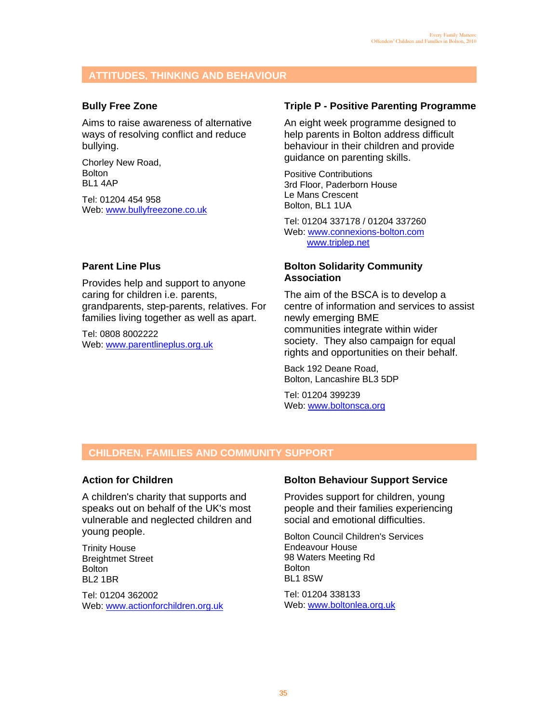### **ATTITUDES, THINKING AND BEHAVIOUR**

#### **Bully Free Zone**

Aims to raise awareness of alternative ways of resolving conflict and reduce bullying.

Chorley New Road, **Bolton** BL1 4AP

Tel: 01204 454 958 Web: www.bullyfreezone.co.uk

#### **Triple P - Positive Parenting Programme**

An eight week programme designed to help parents in Bolton address difficult behaviour in their children and provide guidance on parenting skills.

Positive Contributions 3rd Floor, Paderborn House Le Mans Crescent Bolton, BL1 1UA

Tel: 01204 337178 / 01204 337260 Web: [www.connexions-bolton.com](http://www.connexions-bolton.com/)  [www.triplep.net](http://www.triplep.net/) 

#### **Parent Line Plus**

Provides help and support to anyone caring for children i.e. parents, grandparents, step-parents, relatives. For families living together as well as apart.

Tel: 0808 8002222 Web: [www.parentlineplus.org.uk](http://www.parentlineplus.org.uk/)

#### **Bolton Solidarity Community Association**

The aim of the BSCA is to develop a centre of information and services to assist newly emerging BME communities integrate within wider society. They also campaign for equal rights and opportunities on their behalf.

Back 192 Deane Road, Bolton, Lancashire BL3 5DP

Tel: 01204 399239 Web: www.boltonsca.org

#### **CHILDREN, FAMILIES AND COMMUNITY SUPPORT**

#### **Action for Children**

A children's charity that supports and speaks out on behalf of the UK's most vulnerable and neglected children and young people.

Trinity House Breightmet Street **Bolton** BL2 1BR

Tel: 01204 362002 Web: [www.actionforchildren.org.uk](http://www.actionforchildren.org.uk/) 

#### **Bolton Behaviour Support Service**

Provides support for children, young people and their families experiencing social and emotional difficulties.

Bolton Council Children's Services Endeavour House 98 Waters Meeting Rd Bolton BL1 8SW

Tel: 01204 338133 Web: [www.boltonlea.org.uk](http://www.boltonlea.org.uk/)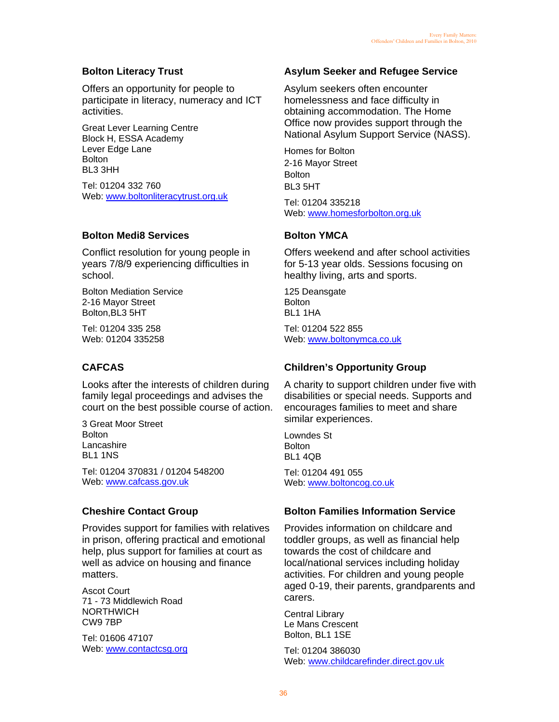#### **Bolton Literacy Trust**

Offers an opportunity for people to participate in literacy, numeracy and ICT activities.

Great Lever Learning Centre Block H, ESSA Academy Lever Edge Lane **Bolton** BL3 3HH

Tel: 01204 332 760 Web: [www.boltonliteracytrust.org.uk](http://www.boltonliteracytrust.org.uk/)

### **Bolton Medi8 Services**

Conflict resolution for young people in years 7/8/9 experiencing difficulties in school.

Bolton Mediation Service 2-16 Mayor Street Bolton,BL3 5HT

Tel: 01204 335 258 Web: 01204 335258

### **CAFCAS**

Looks after the interests of children during family legal proceedings and advises the court on the best possible course of action.

3 Great Moor Street **Bolton** Lancashire BL1 1NS

Tel: 01204 370831 / 01204 548200 Web: [www.cafcass.gov.uk](http://www.cafcass.gov.uk/) 

#### **Cheshire Contact Group**

Provides support for families with relatives in prison, offering practical and emotional help, plus support for families at court as well as advice on housing and finance matters.

Ascot Court 71 - 73 Middlewich Road **NORTHWICH** CW9 7BP

Tel: 01606 47107 Web: www.contactcsg.org

#### **Asylum Seeker and Refugee Service**

Asylum seekers often encounter homelessness and face difficulty in obtaining accommodation. The Home Office now provides support through the National Asylum Support Service (NASS).

Homes for Bolton 2-16 Mayor Street **Bolton** BL3 5HT

Tel: 01204 335218 Web: [www.homesforbolton.org.uk](http://www.homesforbolton.org.uk/)

### **Bolton YMCA**

Offers weekend and after school activities for 5-13 year olds. Sessions focusing on healthy living, arts and sports.

125 Deansgate Bolton BL1 1HA

Tel: 01204 522 855 Web: [www.boltonymca.co.uk](http://www.boltonymca.co.uk/)

# **Children's Opportunity Group**

A charity to support children under five with disabilities or special needs. Supports and encourages families to meet and share similar experiences.

Lowndes St **Bolton** BL1 4QB

Tel: 01204 491 055 Web: [www.boltoncog.co.uk](http://www.boltoncog.co.uk/) 

#### **Bolton Families Information Service**

Provides information on childcare and toddler groups, as well as financial help towards the cost of childcare and local/national services including holiday activities. For children and young people aged 0-19, their parents, grandparents and carers.

Central Library Le Mans Crescent Bolton, BL1 1SE

Tel: 01204 386030 Web: [www.childcarefinder.direct.gov.uk](http://www.childcarefinder.direct.gov.uk/)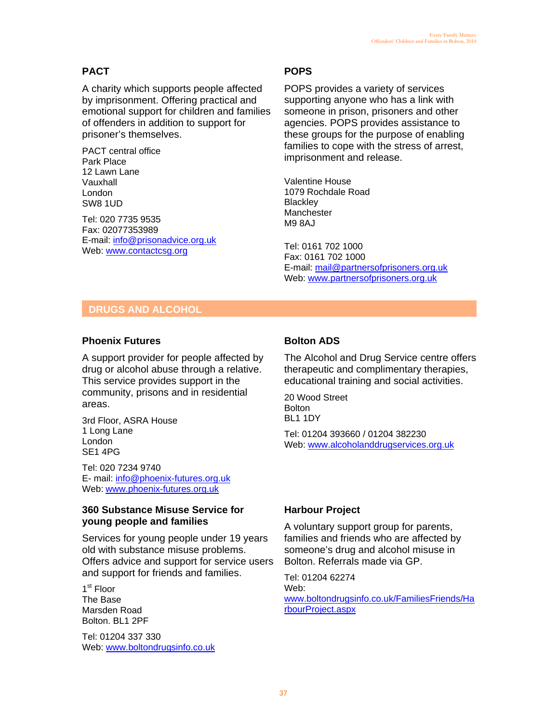### **PACT**

A charity which supports people affected by imprisonment. Offering practical and emotional support for children and families of offenders in addition to support for prisoner's themselves.

PACT central office Park Place 12 Lawn Lane Vauxhall London SW8 1UD

Tel: 020 7735 9535 Fax: 02077353989 E-mail: [info@prisonadvice.org.uk](mailto:info@prisonadvice.org.uk)  Web: www.contactcsg.org

### **POPS**

POPS provides a variety of services supporting anyone who has a link with someone in prison, prisoners and other agencies. POPS provides assistance to these groups for the purpose of enabling families to cope with the stress of arrest, imprisonment and release.

Valentine House 1079 Rochdale Road **Blackley Manchester** M9 8AJ

Tel: 0161 702 1000 Fax: 0161 702 1000 E-mail: [mail@partnersofprisoners.org.uk](mailto:mail@partnersofprisoners.org.uk) Web: [www.partnersofprisoners.org.uk](http://www.partnersofprisoners.org.uk/) 

### **DRUGS AND ALCOHOL**

#### **Phoenix Futures**

A support provider for people affected by drug or alcohol abuse through a relative. This service provides support in the community, prisons and in residential areas.

3rd Floor, ASRA House 1 Long Lane London SE1 4PG

Tel: 020 7234 9740 E- mail: [info@phoenix-futures.org.uk](mailto:info@phoenix-futures.org.uk)  Web: [www.phoenix-futures.org.uk](http://www.phoenix-futures.org.uk/) 

#### **360 Substance Misuse Service for young people and families**

Services for young people under 19 years old with substance misuse problems. Offers advice and support for service users and support for friends and families.

1<sup>st</sup> Floor The Base Marsden Road Bolton. BL1 2PF

Tel: 01204 337 330 Web: [www.boltondrugsinfo.co.uk](http://www.boltondrugsinfo.co.uk/) 

### **Bolton ADS**

The Alcohol and Drug Service centre offers therapeutic and complimentary therapies, educational training and social activities.

20 Wood Street **Bolton** BL1 1DY

Tel: 01204 393660 / 01204 382230 Web: [www.alcoholanddrugservices.org.uk](http://www.alcoholanddrugservices.org.uk/) 

#### **Harbour Project**

A voluntary support group for parents, families and friends who are affected by someone's drug and alcohol misuse in Bolton. Referrals made via GP.

Tel: 01204 62274 Web: [www.boltondrugsinfo.co.uk/FamiliesFriends/Ha](http://www.boltondrugsinfo.co.uk/FamiliesFriends/HarbourProject.aspx) [rbourProject.aspx](http://www.boltondrugsinfo.co.uk/FamiliesFriends/HarbourProject.aspx)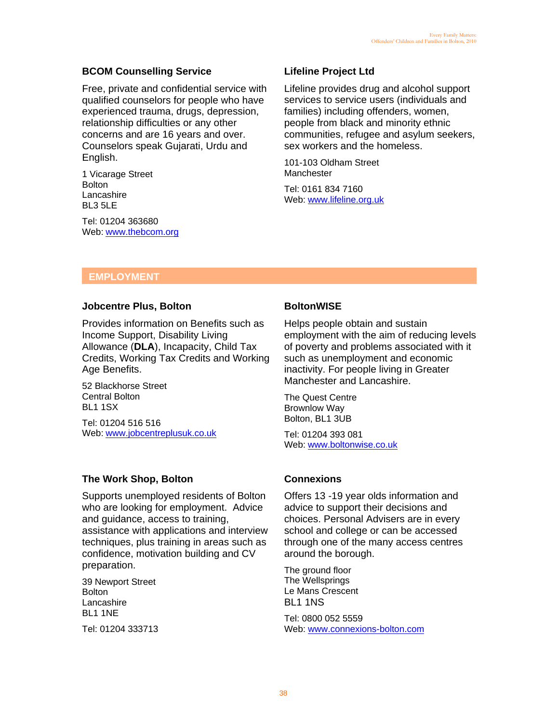#### **BCOM Counselling Service**

Free, private and confidential service with qualified counselors for people who have experienced trauma, drugs, depression, relationship difficulties or any other concerns and are 16 years and over. Counselors speak Gujarati, Urdu and English.

1 Vicarage Street **Bolton Lancashire** BL3 5LE

Tel: 01204 363680 Web: [www.thebcom.org](http://www.thebcom.org/) 

# **Lifeline Project Ltd**

Lifeline provides drug and alcohol support services to service users (individuals and families) including offenders, women, people from black and minority ethnic communities, refugee and asylum seekers, sex workers and the homeless.

101-103 Oldham Street **Manchester** 

Tel: 0161 834 7160 Web: [www.lifeline.org.uk](http://www.lifeline.org.uk/) 

#### **EMPLOYMENT**

#### **Jobcentre Plus, Bolton**

Provides information on Benefits such as Income Support, Disability Living Allowance (**DLA**), Incapacity, Child Tax Credits, Working Tax Credits and Working Age Benefits.

52 Blackhorse Street Central Bolton BL1 1SX

Tel: 01204 516 516 Web: [www.jobcentreplusuk.co.uk](http://www.jobcentreplusuk.co.uk/)

#### **The Work Shop, Bolton**

Supports unemployed residents of Bolton who are looking for employment. Advice and guidance, access to training, assistance with applications and interview techniques, plus training in areas such as confidence, motivation building and CV preparation.

39 Newport Street **Bolton Lancashire** BL1 1NE

Tel: 01204 333713

#### **BoltonWISE**

Helps people obtain and sustain employment with the aim of reducing levels of poverty and problems associated with it such as unemployment and economic inactivity. For people living in Greater Manchester and Lancashire.

The Quest Centre Brownlow Way Bolton, BL1 3UB

Tel: 01204 393 081 Web: [www.boltonwise.co.uk](http://www.boltonwise.co.uk/) 

#### **Connexions**

Offers 13 -19 year olds information and advice to support their decisions and choices. Personal Advisers are in every school and college or can be accessed through one of the many access centres around the borough.

The ground floor The Wellsprings Le Mans Crescent BL1 1NS

Tel: 0800 052 5559 Web: [www.connexions-bolton.com](http://www.connexions-bolton.com/)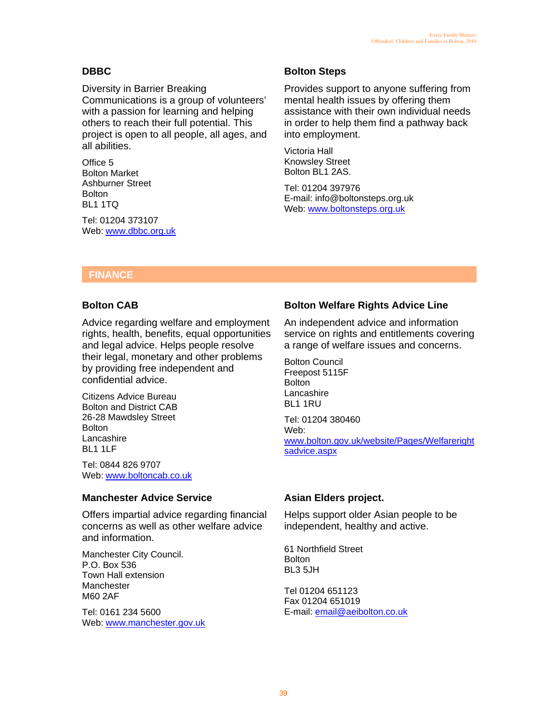#### **DBBC**

Diversity in Barrier Breaking Communications is a group of volunteers' with a passion for learning and helping others to reach their full potential. This project is open to all people, all ages, and all abilities.

Office 5 Bolton Market Ashburner Street **Bolton** BL1 1TQ

Tel: 01204 373107 Web: [www.dbbc.org.uk](http://www.dbbc.org.uk/) 

### **Bolton Steps**

Provides support to anyone suffering from mental health issues by offering them assistance with their own individual needs in order to help them find a pathway back into employment.

Victoria Hall Knowsley Street Bolton BL1 2AS.

Tel: 01204 397976 E-mail: info@boltonsteps.org.uk Web: www.boltonsteps.org.uk

#### **FINANCE**

#### **Bolton CAB**

Advice regarding welfare and employment rights, health, benefits, equal opportunities and legal advice. Helps people resolve their legal, monetary and other problems by providing free independent and confidential advice.

Citizens Advice Bureau Bolton and District CAB 26-28 Mawdsley Street Bolton **Lancashire** BL1 1LF

Tel: 0844 826 9707 Web: [www.boltoncab.co.uk](http://www.boltoncab.co.uk/)

#### **Manchester Advice Service**

Offers impartial advice regarding financial concerns as well as other welfare advice and information.

Manchester City Council. P.O. Box 536 Town Hall extension **Manchester** M60 2AF

Tel: 0161 234 5600 Web: [www.manchester.gov.uk](http://www.manchester.gov.uk/) 

### **Bolton Welfare Rights Advice Line**

An independent advice and information service on rights and entitlements covering a range of welfare issues and concerns.

Bolton Council Freepost 5115F **Bolton** Lancashire BL1 1RU Tel: 01204 380460 Web: [www.bolton.gov.uk/website/Pages/Welfareright](http://www.bolton.gov.uk/website/Pages/Welfarerightsadvice.aspx) [sadvice.aspx](http://www.bolton.gov.uk/website/Pages/Welfarerightsadvice.aspx)

#### **Asian Elders project.**

Helps support older Asian people to be independent, healthy and active.

61 Northfield Street **Bolton** BL3 5JH

Tel 01204 651123 Fax 01204 651019 E-mail: [email@aeibolton.co.uk](mailto:email@aeibolton.co.uk)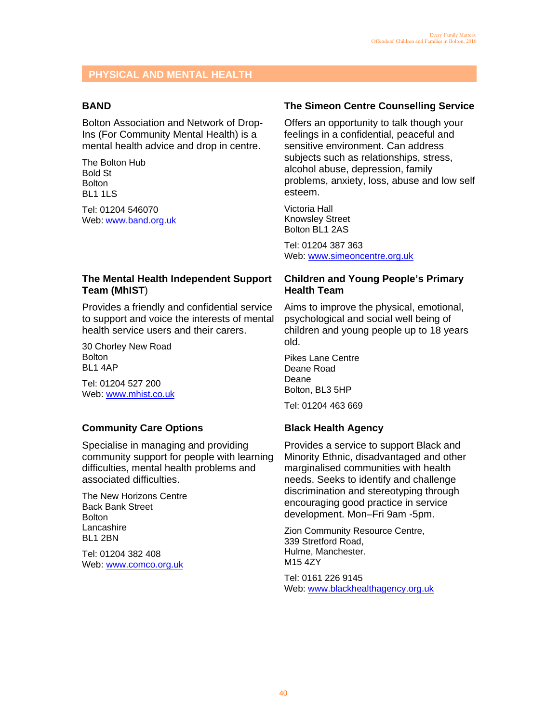#### **PHYSICAL AND MENTAL HEALTH**

#### **BAND**

Bolton Association and Network of Drop-Ins (For Community Mental Health) is a mental health advice and drop in centre.

The Bolton Hub Bold St **Bolton** BL1 1LS

Tel: 01204 546070 Web: [www.band.org.uk](http://www.band.org.uk/)

#### **The Mental Health Independent Support Team (MhIST**)

Provides a friendly and confidential service to support and voice the interests of mental health service users and their carers.

30 Chorley New Road **Bolton** BL1 4AP

Tel: 01204 527 200 Web: [www.mhist.co.uk](http://www.mhist.co.uk/)

#### **Community Care Options**

Specialise in managing and providing community support for people with learning difficulties, mental health problems and associated difficulties.

The New Horizons Centre Back Bank Street **Bolton Lancashire** BL1 2BN

Tel: 01204 382 408 Web: [www.comco.org.uk](http://www.comco.org.uk/) 

#### **The Simeon Centre Counselling Service**

Offers an opportunity to talk though your feelings in a confidential, peaceful and sensitive environment. Can address subjects such as relationships, stress, alcohol abuse, depression, family problems, anxiety, loss, abuse and low self esteem.

Victoria Hall Knowsley Street Bolton BL1 2AS

Tel: 01204 387 363 Web: www.simeoncentre.org.uk

#### **Children and Young People's Primary Health Team**

Aims to improve the physical, emotional, psychological and social well being of children and young people up to 18 years old.

Pikes Lane Centre Deane Road Deane Bolton, BL3 5HP

Tel: 01204 463 669

#### **Black Health Agency**

Provides a service to support Black and Minority Ethnic, disadvantaged and other marginalised communities with health needs. Seeks to identify and challenge discrimination and stereotyping through encouraging good practice in service development. Mon–Fri 9am -5pm.

Zion Community Resource Centre, 339 Stretford Road, Hulme, Manchester. M15 4ZY

Tel: 0161 226 9145 Web: [www.blackhealthagency.org.uk](http://www.blackhealthagency.org.uk/)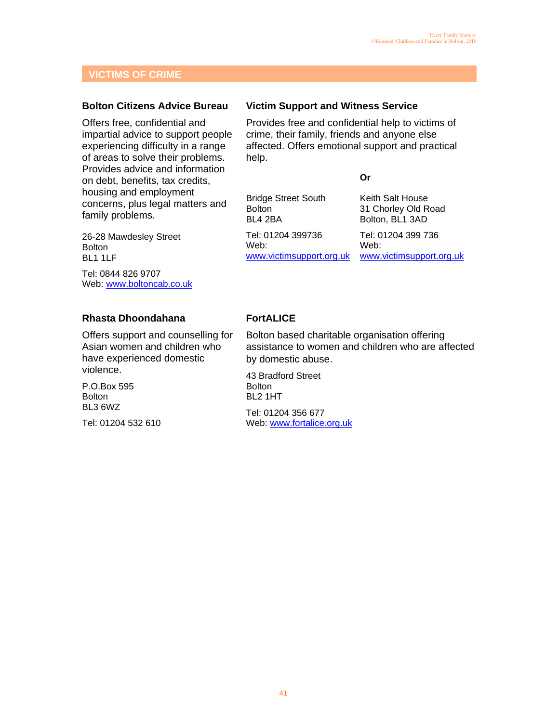#### **VICTIMS OF CRIME**

#### **Bolton Citizens Advice Bureau**

Offers free, confidential and impartial advice to support people experiencing difficulty in a range of areas to solve their problems. Provides advice and information on debt, benefits, tax credits, housing and employment concerns, plus legal matters and family problems.

26-28 Mawdesley Street **Bolton** BL1 1LF

Tel: 0844 826 9707 Web: [www.boltoncab.co.uk](http://www.boltoncab.co.uk/) 

#### **Rhasta Dhoondahana**

Offers support and counselling for Asian women and children who have experienced domestic violence.

P.O.Box 595 **Bolton** BL3 6WZ

Tel: 01204 532 610

#### **Victim Support and Witness Service**

Provides free and confidential help to victims of crime, their family, friends and anyone else affected. Offers emotional support and practical help.

**Or** 

Bridge Street South **Bolton** BL4 2BA Tel: 01204 399736 Web: [www.victimsupport.org.uk](http://www.victimsupport.org.uk/) Keith Salt House 31 Chorley Old Road Bolton, BL1 3AD Tel: 01204 399 736 Web:

[www.victimsupport.org.uk](http://www.victimsupport.org.uk/)

### **FortALICE**

Bolton based charitable organisation offering assistance to women and children who are affected by domestic abuse.

43 Bradford Street Bolton BL2 1HT Tel: 01204 356 677 Web: www.fortalice.org.uk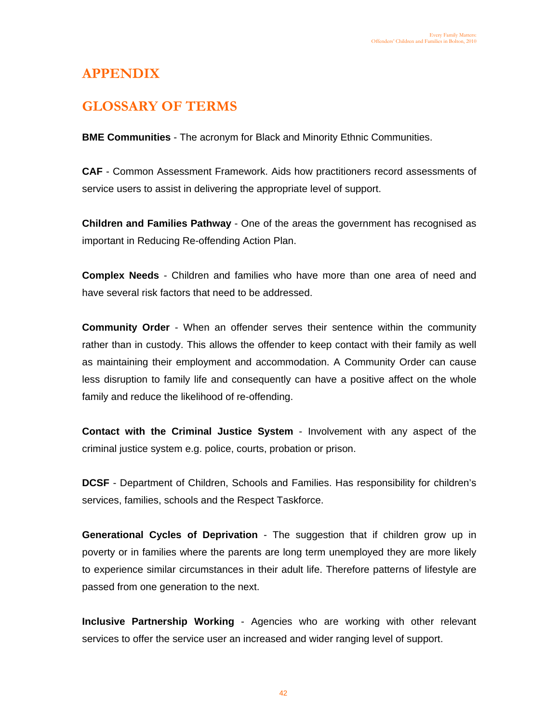# **APPENDIX**

# **GLOSSARY OF TERMS**

**BME Communities** - The acronym for Black and Minority Ethnic Communities.

**CAF** - Common Assessment Framework. Aids how practitioners record assessments of service users to assist in delivering the appropriate level of support.

**Children and Families Pathway** - One of the areas the government has recognised as important in Reducing Re-offending Action Plan.

**Complex Needs** - Children and families who have more than one area of need and have several risk factors that need to be addressed.

**Community Order** - When an offender serves their sentence within the community rather than in custody. This allows the offender to keep contact with their family as well as maintaining their employment and accommodation. A Community Order can cause less disruption to family life and consequently can have a positive affect on the whole family and reduce the likelihood of re-offending.

**Contact with the Criminal Justice System** - Involvement with any aspect of the criminal justice system e.g. police, courts, probation or prison.

**DCSF** - Department of Children, Schools and Families. Has responsibility for children's services, families, schools and the Respect Taskforce.

**Generational Cycles of Deprivation** - The suggestion that if children grow up in poverty or in families where the parents are long term unemployed they are more likely to experience similar circumstances in their adult life. Therefore patterns of lifestyle are passed from one generation to the next.

**Inclusive Partnership Working** - Agencies who are working with other relevant services to offer the service user an increased and wider ranging level of support.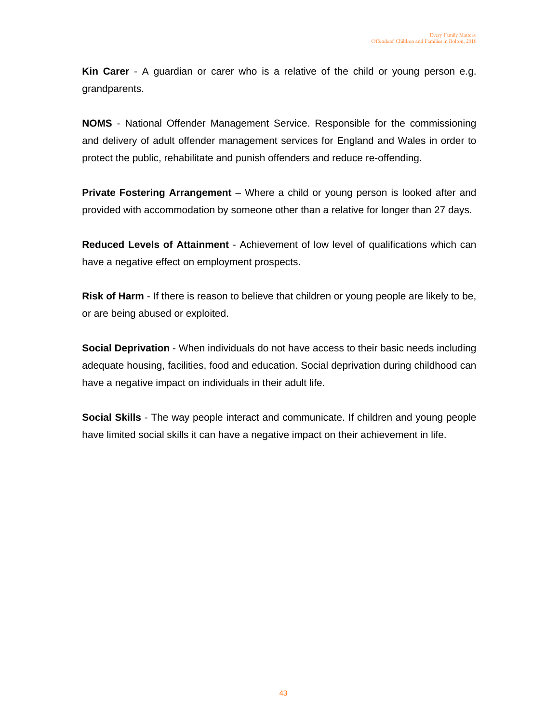**Kin Carer** - A guardian or carer who is a relative of the child or young person e.g. grandparents.

**NOMS** - National Offender Management Service. Responsible for the commissioning and delivery of adult offender management services for England and Wales in order to protect the public, rehabilitate and punish offenders and reduce re-offending.

**Private Fostering Arrangement** – Where a child or young person is looked after and provided with accommodation by someone other than a relative for longer than 27 days.

**Reduced Levels of Attainment** - Achievement of low level of qualifications which can have a negative effect on employment prospects.

**Risk of Harm** - If there is reason to believe that children or young people are likely to be, or are being abused or exploited.

**Social Deprivation** - When individuals do not have access to their basic needs including adequate housing, facilities, food and education. Social deprivation during childhood can have a negative impact on individuals in their adult life.

**Social Skills** - The way people interact and communicate. If children and young people have limited social skills it can have a negative impact on their achievement in life.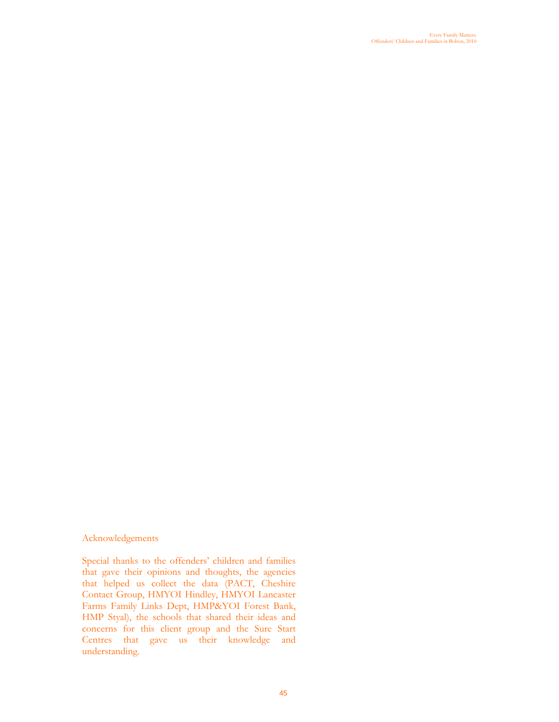#### Acknowledgements

Special thanks to the offenders' children and families that gave their opinions and thoughts, the agencies that helped us collect the data (PACT, Cheshire Contact Group, HMYOI Hindley, HMYOI Lancaster Farms Family Links Dept, HMP&YOI Forest Bank, HMP Styal), the schools that shared their ideas and concerns for this client group and the Sure Start Centres that gave us their knowledge and understanding.